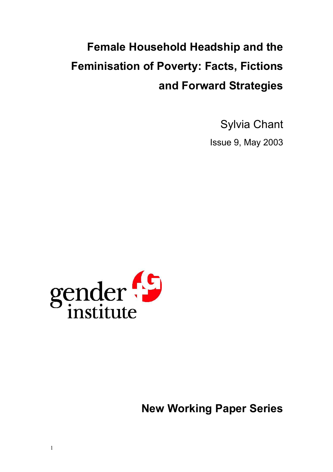## **Female Household Headship and the Feminisation of Poverty: Facts, Fictions and Forward Strategies**

Sylvia Chant

Issue 9, May 2003



**New Working Paper Series**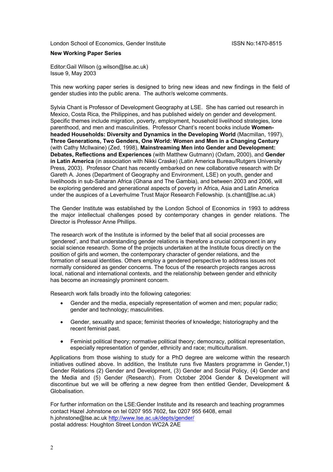London School of Economics, Gender Institute **ISSN No.** 1470-8515

#### **New Working Paper Series**

Editor:Gail Wilson (g.wilson@lse.ac.uk) Issue 9, May 2003

This new working paper series is designed to bring new ideas and new findings in the field of gender studies into the public arena. The author/s welcome comments.

Sylvia Chant is Professor of Development Geography at LSE. She has carried out research in Mexico, Costa Rica, the Philippines, and has published widely on gender and development. Specific themes include migration, poverty, employment, household livelihood strategies, lone parenthood, and men and masculinities. Professor Chant's recent books include **Womenheaded Households: Diversity and Dynamics in the Developing World** (Macmillan, 1997), **Three Generations, Two Genders, One World: Women and Men in a Changing Century** (with Cathy McIlwaine) (Zed, 1998), **Mainstreaming Men into Gender and Development: Debates, Reflections and Experiences** (with Matthew Gutmann) (Oxfam, 2000), and **Gender in Latin America** (in association with Nikki Craske) (Latin America Bureau/Rutgers University Press, 2003). Professor Chant has recently embarked on new collaborative research with Dr Gareth A. Jones (Department of Geography and Environment, LSE) on youth, gender and livelihoods in sub-Saharan Africa (Ghana and The Gambia), and between 2003 and 2006, will be exploring gendered and generational aspects of poverty in Africa, Asia and Latin America under the auspices of a Leverhulme Trust Major Research Fellowship. (s.chant@lse.ac.uk)

The Gender Institute was established by the London School of Economics in 1993 to address the major intellectual challenges posed by contemporary changes in gender relations. The Director is Professor Anne Phillips.

The research work of the Institute is informed by the belief that all social processes are 'gendered', and that understanding gender relations is therefore a crucial component in any social science research. Some of the projects undertaken at the Institute focus directly on the position of girls and women, the contemporary character of gender relations, and the formation of sexual identities. Others employ a gendered perspective to address issues not normally considered as gender concerns. The focus of the research projects ranges across local, national and international contexts, and the relationship between gender and ethnicity has become an increasingly prominent concern.

Research work falls broadly into the following categories:

- Gender and the media, especially representation of women and men; popular radio; gender and technology; masculinities.
- Gender, sexuality and space; feminist theories of knowledge; historiography and the recent feminist past.
- Feminist political theory: normative political theory: democracy, political representation, especially representation of gender, ethnicity and race; multiculturalism.

Applications from those wishing to study for a PhD degree are welcome within the research initiatives outlined above. In addition, the Institute runs five Masters programme in Gender,1) Gender Relations (2) Gender and Development, (3) Gender and Social Policy, (4) Gender and the Media and (5) Gender (Research). From October 2004 Gender & Development will discontinue but we will be offering a new degree from then entitled Gender, Development & Globalisation.

For further information on the LSE:Gender Institute and its research and teaching programmes contact Hazel Johnstone on tel 0207 955 7602, fax 0207 955 6408, email h.johnstone@lse.ac.uk <http://www.lse.ac.uk/depts/gender/> postal address: Houghton Street London WC2A 2AE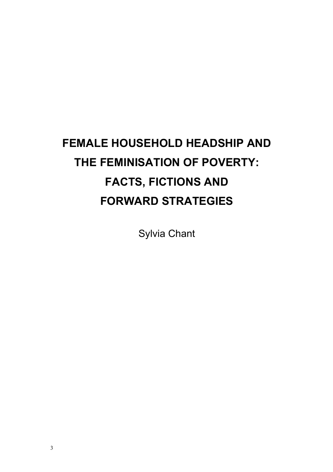# **FEMALE HOUSEHOLD HEADSHIP AND THE FEMINISATION OF POVERTY: FACTS, FICTIONS AND FORWARD STRATEGIES**

Sylvia Chant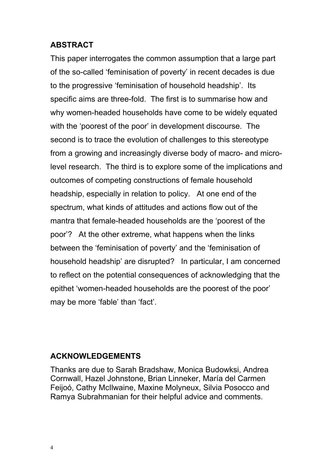## **ABSTRACT**

This paper interrogates the common assumption that a large part of the so-called 'feminisation of poverty' in recent decades is due to the progressive 'feminisation of household headship'. Its specific aims are three-fold. The first is to summarise how and why women-headed households have come to be widely equated with the 'poorest of the poor' in development discourse. The second is to trace the evolution of challenges to this stereotype from a growing and increasingly diverse body of macro- and microlevel research. The third is to explore some of the implications and outcomes of competing constructions of female household headship, especially in relation to policy. At one end of the spectrum, what kinds of attitudes and actions flow out of the mantra that female-headed households are the 'poorest of the poor'? At the other extreme, what happens when the links between the 'feminisation of poverty' and the 'feminisation of household headship' are disrupted? In particular, I am concerned to reflect on the potential consequences of acknowledging that the epithet 'women-headed households are the poorest of the poor' may be more 'fable' than 'fact'.

## **ACKNOWLEDGEMENTS**

Thanks are due to Sarah Bradshaw, Monica Budowksi, Andrea Cornwall, Hazel Johnstone, Brian Linneker, María del Carmen Feijoó, Cathy McIlwaine, Maxine Molyneux, Silvia Posocco and Ramya Subrahmanian for their helpful advice and comments.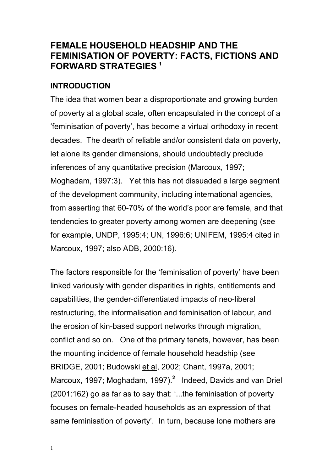## **FEMALE HOUSEHOLD HEADSHIP AND THE FEMINISATION OF POVERTY: FACTS, FICTIONS AND FORWARD STRATEGIES <sup>1</sup>**

## **INTRODUCTION**

The idea that women bear a disproportionate and growing burden of poverty at a global scale, often encapsulated in the concept of a 'feminisation of poverty', has become a virtual orthodoxy in recent decades. The dearth of reliable and/or consistent data on poverty, let alone its gender dimensions, should undoubtedly preclude inferences of any quantitative precision (Marcoux, 1997; Moghadam, 1997:3). Yet this has not dissuaded a large segment of the development community, including international agencies, from asserting that 60-70% of the world's poor are female, and that tendencies to greater poverty among women are deepening (see for example, UNDP, 1995:4; UN, 1996:6; UNIFEM, 1995:4 cited in Marcoux, 1997; also ADB, 2000:16).

The factors responsible for the 'feminisation of poverty' have been linked variously with gender disparities in rights, entitlements and capabilities, the gender-differentiated impacts of neo-liberal restructuring, the informalisation and feminisation of labour, and the erosion of kin-based support networks through migration, conflict and so on. One of the primary tenets, however, has been the mounting incidence of female household headship (see BRIDGE, 2001; Budowski et al, 2002; Chant, 1997a, 2001; Marcoux, 1997; Moghadam, 1997).**<sup>2</sup>** Indeed, Davids and van Driel (2001:162) go as far as to say that: '...the feminisation of poverty focuses on female-headed households as an expression of that same feminisation of poverty'. In turn, because lone mothers are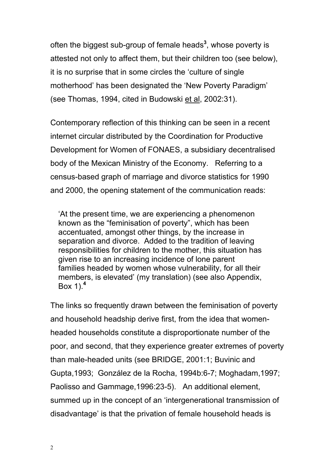often the biggest sub-group of female heads**<sup>3</sup>** , whose poverty is attested not only to affect them, but their children too (see below), it is no surprise that in some circles the 'culture of single motherhood' has been designated the 'New Poverty Paradigm' (see Thomas, 1994, cited in Budowski et al, 2002:31).

Contemporary reflection of this thinking can be seen in a recent internet circular distributed by the Coordination for Productive Development for Women of FONAES, a subsidiary decentralised body of the Mexican Ministry of the Economy. Referring to a census-based graph of marriage and divorce statistics for 1990 and 2000, the opening statement of the communication reads:

'At the present time, we are experiencing a phenomenon known as the "feminisation of poverty", which has been accentuated, amongst other things, by the increase in separation and divorce. Added to the tradition of leaving responsibilities for children to the mother, this situation has given rise to an increasing incidence of lone parent families headed by women whose vulnerability, for all their members, is elevated' (my translation) (see also Appendix, Box 1).**<sup>4</sup>**

The links so frequently drawn between the feminisation of poverty and household headship derive first, from the idea that womenheaded households constitute a disproportionate number of the poor, and second, that they experience greater extremes of poverty than male-headed units (see BRIDGE, 2001:1; Buvinic and Gupta,1993; González de la Rocha, 1994b:6-7; Moghadam,1997; Paolisso and Gammage,1996:23-5). An additional element, summed up in the concept of an 'intergenerational transmission of disadvantage' is that the privation of female household heads is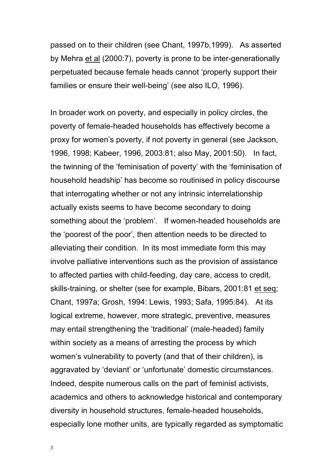passed on to their children (see Chant, 1997b,1999). As asserted by Mehra et al (2000:7), poverty is prone to be inter-generationally perpetuated because female heads cannot 'properly support their families or ensure their well-being' (see also ILO, 1996).

In broader work on poverty, and especially in policy circles, the poverty of female-headed households has effectively become a proxy for women's poverty, if not poverty in general (see Jackson, 1996, 1998; Kabeer, 1996, 2003:81; also May, 2001:50). In fact, the twinning of the 'feminisation of poverty' with the 'feminisation of household headship' has become so routinised in policy discourse that interrogating whether or not any intrinsic interrelationship actually exists seems to have become secondary to doing something about the 'problem'. If women-headed households are the 'poorest of the poor', then attention needs to be directed to alleviating their condition. In its most immediate form this may involve palliative interventions such as the provision of assistance to affected parties with child-feeding, day care, access to credit, skills-training, or shelter (see for example, Bibars, 2001:81 et seq; Chant, 1997a; Grosh, 1994: Lewis, 1993; Safa, 1995:84). At its logical extreme, however, more strategic, preventive, measures may entail strengthening the 'traditional' (male-headed) family within society as a means of arresting the process by which women's vulnerability to poverty (and that of their children), is aggravated by 'deviant' or 'unfortunate' domestic circumstances. Indeed, despite numerous calls on the part of feminist activists, academics and others to acknowledge historical and contemporary diversity in household structures, female-headed households, especially lone mother units, are typically regarded as symptomatic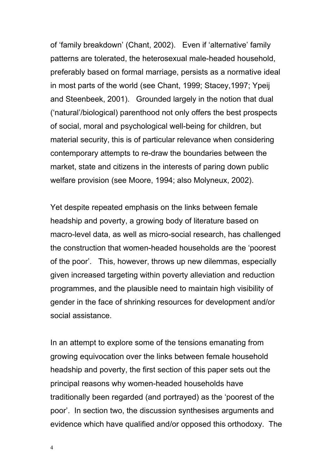of 'family breakdown' (Chant, 2002). Even if 'alternative' family patterns are tolerated, the heterosexual male-headed household, preferably based on formal marriage, persists as a normative ideal in most parts of the world (see Chant, 1999; Stacey,1997; Ypeij and Steenbeek, 2001). Grounded largely in the notion that dual ('natural'/biological) parenthood not only offers the best prospects of social, moral and psychological well-being for children, but material security, this is of particular relevance when considering contemporary attempts to re-draw the boundaries between the market, state and citizens in the interests of paring down public welfare provision (see Moore, 1994; also Molyneux, 2002).

Yet despite repeated emphasis on the links between female headship and poverty, a growing body of literature based on macro-level data, as well as micro-social research, has challenged the construction that women-headed households are the 'poorest of the poor'. This, however, throws up new dilemmas, especially given increased targeting within poverty alleviation and reduction programmes, and the plausible need to maintain high visibility of gender in the face of shrinking resources for development and/or social assistance.

In an attempt to explore some of the tensions emanating from growing equivocation over the links between female household headship and poverty, the first section of this paper sets out the principal reasons why women-headed households have traditionally been regarded (and portrayed) as the 'poorest of the poor'. In section two, the discussion synthesises arguments and evidence which have qualified and/or opposed this orthodoxy. The

4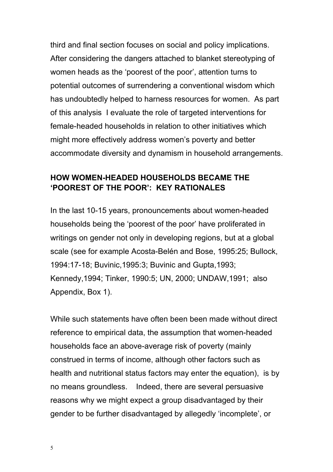third and final section focuses on social and policy implications. After considering the dangers attached to blanket stereotyping of women heads as the 'poorest of the poor', attention turns to potential outcomes of surrendering a conventional wisdom which has undoubtedly helped to harness resources for women. As part of this analysis I evaluate the role of targeted interventions for female-headed households in relation to other initiatives which might more effectively address women's poverty and better accommodate diversity and dynamism in household arrangements.

## **HOW WOMEN-HEADED HOUSEHOLDS BECAME THE 'POOREST OF THE POOR': KEY RATIONALES**

In the last 10-15 years, pronouncements about women-headed households being the 'poorest of the poor' have proliferated in writings on gender not only in developing regions, but at a global scale (see for example Acosta-Belén and Bose, 1995:25; Bullock, 1994:17-18; Buvinic,1995:3; Buvinic and Gupta,1993; Kennedy,1994; Tinker, 1990:5; UN, 2000; UNDAW,1991; also Appendix, Box 1).

While such statements have often been been made without direct reference to empirical data, the assumption that women-headed households face an above-average risk of poverty (mainly construed in terms of income, although other factors such as health and nutritional status factors may enter the equation), is by no means groundless. Indeed, there are several persuasive reasons why we might expect a group disadvantaged by their gender to be further disadvantaged by allegedly 'incomplete', or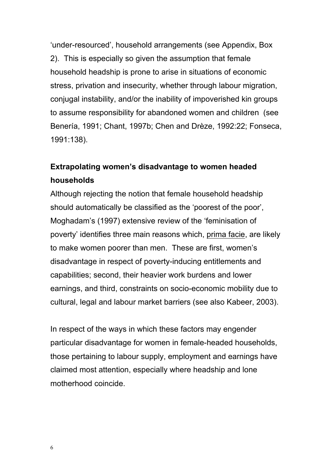'under-resourced', household arrangements (see Appendix, Box 2). This is especially so given the assumption that female household headship is prone to arise in situations of economic stress, privation and insecurity, whether through labour migration, conjugal instability, and/or the inability of impoverished kin groups to assume responsibility for abandoned women and children (see Benería, 1991; Chant, 1997b; Chen and Drèze, 1992:22; Fonseca, 1991:138).

## **Extrapolating women's disadvantage to women headed households**

Although rejecting the notion that female household headship should automatically be classified as the 'poorest of the poor', Moghadam's (1997) extensive review of the 'feminisation of poverty' identifies three main reasons which, prima facie, are likely to make women poorer than men. These are first, women's disadvantage in respect of poverty-inducing entitlements and capabilities; second, their heavier work burdens and lower earnings, and third, constraints on socio-economic mobility due to cultural, legal and labour market barriers (see also Kabeer, 2003).

In respect of the ways in which these factors may engender particular disadvantage for women in female-headed households, those pertaining to labour supply, employment and earnings have claimed most attention, especially where headship and lone motherhood coincide.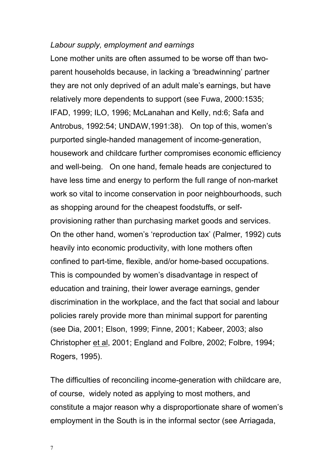#### *Labour supply, employment and earnings*

Lone mother units are often assumed to be worse off than twoparent households because, in lacking a 'breadwinning' partner they are not only deprived of an adult male's earnings, but have relatively more dependents to support (see Fuwa, 2000:1535; IFAD, 1999; ILO, 1996; McLanahan and Kelly, nd:6; Safa and Antrobus, 1992:54; UNDAW,1991:38). On top of this, women's purported single-handed management of income-generation, housework and childcare further compromises economic efficiency and well-being. On one hand, female heads are conjectured to have less time and energy to perform the full range of non-market work so vital to income conservation in poor neighbourhoods, such as shopping around for the cheapest foodstuffs, or selfprovisioning rather than purchasing market goods and services. On the other hand, women's 'reproduction tax' (Palmer, 1992) cuts heavily into economic productivity, with lone mothers often confined to part-time, flexible, and/or home-based occupations. This is compounded by women's disadvantage in respect of education and training, their lower average earnings, gender discrimination in the workplace, and the fact that social and labour policies rarely provide more than minimal support for parenting (see Dia, 2001; Elson, 1999; Finne, 2001; Kabeer, 2003; also Christopher et al, 2001; England and Folbre, 2002; Folbre, 1994; Rogers, 1995).

The difficulties of reconciling income-generation with childcare are, of course, widely noted as applying to most mothers, and constitute a major reason why a disproportionate share of women's employment in the South is in the informal sector (see Arriagada,

7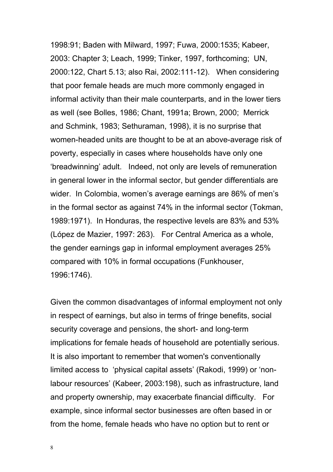1998:91; Baden with Milward, 1997; Fuwa, 2000:1535; Kabeer, 2003: Chapter 3; Leach, 1999; Tinker, 1997, forthcoming; UN, 2000:122, Chart 5.13; also Rai, 2002:111-12). When considering that poor female heads are much more commonly engaged in informal activity than their male counterparts, and in the lower tiers as well (see Bolles, 1986; Chant, 1991a; Brown, 2000; Merrick and Schmink, 1983; Sethuraman, 1998), it is no surprise that women-headed units are thought to be at an above-average risk of poverty, especially in cases where households have only one 'breadwinning' adult. Indeed, not only are levels of remuneration in general lower in the informal sector, but gender differentials are wider. In Colombia, women's average earnings are 86% of men's in the formal sector as against 74% in the informal sector (Tokman, 1989:1971). In Honduras, the respective levels are 83% and 53% (López de Mazier, 1997: 263). For Central America as a whole, the gender earnings gap in informal employment averages 25% compared with 10% in formal occupations (Funkhouser, 1996:1746).

Given the common disadvantages of informal employment not only in respect of earnings, but also in terms of fringe benefits, social security coverage and pensions, the short- and long-term implications for female heads of household are potentially serious. It is also important to remember that women's conventionally limited access to 'physical capital assets' (Rakodi, 1999) or 'nonlabour resources' (Kabeer, 2003:198), such as infrastructure, land and property ownership, may exacerbate financial difficulty. For example, since informal sector businesses are often based in or from the home, female heads who have no option but to rent or

8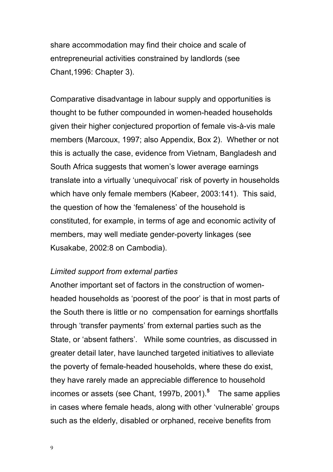share accommodation may find their choice and scale of entrepreneurial activities constrained by landlords (see Chant,1996: Chapter 3).

Comparative disadvantage in labour supply and opportunities is thought to be futher compounded in women-headed households given their higher conjectured proportion of female vis-à-vis male members (Marcoux, 1997; also Appendix, Box 2). Whether or not this is actually the case, evidence from Vietnam, Bangladesh and South Africa suggests that women's lower average earnings translate into a virtually 'unequivocal' risk of poverty in households which have only female members (Kabeer, 2003:141). This said, the question of how the 'femaleness' of the household is constituted, for example, in terms of age and economic activity of members, may well mediate gender-poverty linkages (see Kusakabe, 2002:8 on Cambodia).

#### *Limited support from external parties*

Another important set of factors in the construction of womenheaded households as 'poorest of the poor' is that in most parts of the South there is little or no compensation for earnings shortfalls through 'transfer payments' from external parties such as the State, or 'absent fathers'. While some countries, as discussed in greater detail later, have launched targeted initiatives to alleviate the poverty of female-headed households, where these do exist, they have rarely made an appreciable difference to household incomes or assets (see Chant, 1997b, 2001).**<sup>5</sup>** The same applies in cases where female heads, along with other 'vulnerable' groups such as the elderly, disabled or orphaned, receive benefits from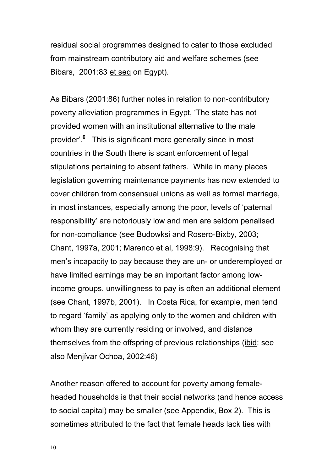residual social programmes designed to cater to those excluded from mainstream contributory aid and welfare schemes (see Bibars, 2001:83 et seq on Egypt).

As Bibars (2001:86) further notes in relation to non-contributory poverty alleviation programmes in Egypt, 'The state has not provided women with an institutional alternative to the male provider'.**<sup>6</sup>** This is significant more generally since in most countries in the South there is scant enforcement of legal stipulations pertaining to absent fathers. While in many places legislation governing maintenance payments has now extended to cover children from consensual unions as well as formal marriage, in most instances, especially among the poor, levels of 'paternal responsibility' are notoriously low and men are seldom penalised for non-compliance (see Budowksi and Rosero-Bixby, 2003; Chant, 1997a, 2001; Marenco et al, 1998:9). Recognising that men's incapacity to pay because they are un- or underemployed or have limited earnings may be an important factor among lowincome groups, unwillingness to pay is often an additional element (see Chant, 1997b, 2001). In Costa Rica, for example, men tend to regard 'family' as applying only to the women and children with whom they are currently residing or involved, and distance themselves from the offspring of previous relationships (ibid; see also Menjívar Ochoa, 2002:46)

Another reason offered to account for poverty among femaleheaded households is that their social networks (and hence access to social capital) may be smaller (see Appendix, Box 2). This is sometimes attributed to the fact that female heads lack ties with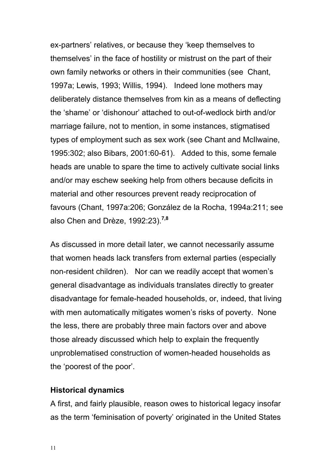ex-partners' relatives, or because they 'keep themselves to themselves' in the face of hostility or mistrust on the part of their own family networks or others in their communities (see Chant, 1997a; Lewis, 1993; Willis, 1994). Indeed lone mothers may deliberately distance themselves from kin as a means of deflecting the 'shame' or 'dishonour' attached to out-of-wedlock birth and/or marriage failure, not to mention, in some instances, stigmatised types of employment such as sex work (see Chant and McIlwaine, 1995:302; also Bibars, 2001:60-61). Added to this, some female heads are unable to spare the time to actively cultivate social links and/or may eschew seeking help from others because deficits in material and other resources prevent ready reciprocation of favours (Chant, 1997a:206; González de la Rocha, 1994a:211; see also Chen and Drèze, 1992:23).**7,8**

As discussed in more detail later, we cannot necessarily assume that women heads lack transfers from external parties (especially non-resident children). Nor can we readily accept that women's general disadvantage as individuals translates directly to greater disadvantage for female-headed households, or, indeed, that living with men automatically mitigates women's risks of poverty. None the less, there are probably three main factors over and above those already discussed which help to explain the frequently unproblematised construction of women-headed households as the 'poorest of the poor'.

### **Historical dynamics**

A first, and fairly plausible, reason owes to historical legacy insofar as the term 'feminisation of poverty' originated in the United States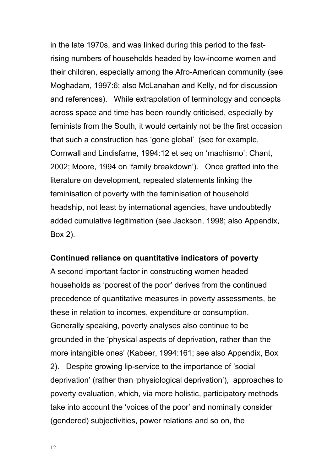in the late 1970s, and was linked during this period to the fastrising numbers of households headed by low-income women and their children, especially among the Afro-American community (see Moghadam, 1997:6; also McLanahan and Kelly, nd for discussion and references). While extrapolation of terminology and concepts across space and time has been roundly criticised, especially by feminists from the South, it would certainly not be the first occasion that such a construction has 'gone global' (see for example, Cornwall and Lindisfarne, 1994:12 et seq on 'machismo'; Chant, 2002; Moore, 1994 on 'family breakdown'). Once grafted into the literature on development, repeated statements linking the feminisation of poverty with the feminisation of household headship, not least by international agencies, have undoubtedly added cumulative legitimation (see Jackson, 1998; also Appendix, Box 2).

#### **Continued reliance on quantitative indicators of poverty**

A second important factor in constructing women headed households as 'poorest of the poor' derives from the continued precedence of quantitative measures in poverty assessments, be these in relation to incomes, expenditure or consumption. Generally speaking, poverty analyses also continue to be grounded in the 'physical aspects of deprivation, rather than the more intangible ones' (Kabeer, 1994:161; see also Appendix, Box 2). Despite growing lip-service to the importance of 'social deprivation' (rather than 'physiological deprivation'), approaches to poverty evaluation, which, via more holistic, participatory methods take into account the 'voices of the poor' and nominally consider (gendered) subjectivities, power relations and so on, the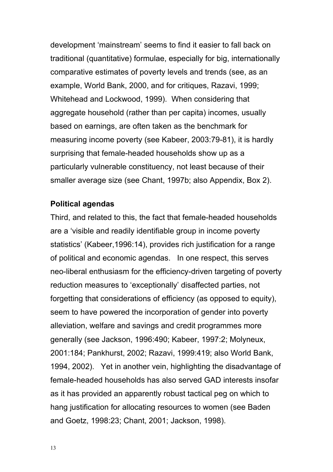development 'mainstream' seems to find it easier to fall back on traditional (quantitative) formulae, especially for big, internationally comparative estimates of poverty levels and trends (see, as an example, World Bank, 2000, and for critiques, Razavi, 1999; Whitehead and Lockwood, 1999). When considering that aggregate household (rather than per capita) incomes, usually based on earnings, are often taken as the benchmark for measuring income poverty (see Kabeer, 2003:79-81), it is hardly surprising that female-headed households show up as a particularly vulnerable constituency, not least because of their smaller average size (see Chant, 1997b; also Appendix, Box 2).

#### **Political agendas**

Third, and related to this, the fact that female-headed households are a 'visible and readily identifiable group in income poverty statistics' (Kabeer,1996:14), provides rich justification for a range of political and economic agendas. In one respect, this serves neo-liberal enthusiasm for the efficiency-driven targeting of poverty reduction measures to 'exceptionally' disaffected parties, not forgetting that considerations of efficiency (as opposed to equity), seem to have powered the incorporation of gender into poverty alleviation, welfare and savings and credit programmes more generally (see Jackson, 1996:490; Kabeer, 1997:2; Molyneux, 2001:184; Pankhurst, 2002; Razavi, 1999:419; also World Bank, 1994, 2002). Yet in another vein, highlighting the disadvantage of female-headed households has also served GAD interests insofar as it has provided an apparently robust tactical peg on which to hang justification for allocating resources to women (see Baden and Goetz, 1998:23; Chant, 2001; Jackson, 1998).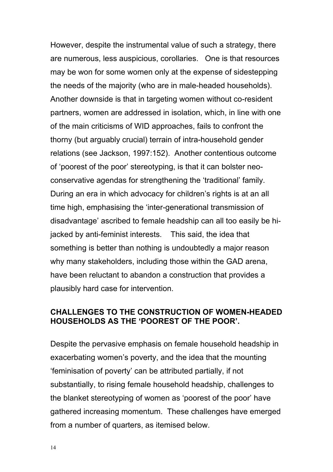However, despite the instrumental value of such a strategy, there are numerous, less auspicious, corollaries. One is that resources may be won for some women only at the expense of sidestepping the needs of the majority (who are in male-headed households). Another downside is that in targeting women without co-resident partners, women are addressed in isolation, which, in line with one of the main criticisms of WID approaches, fails to confront the thorny (but arguably crucial) terrain of intra-household gender relations (see Jackson, 1997:152). Another contentious outcome of 'poorest of the poor' stereotyping, is that it can bolster neoconservative agendas for strengthening the 'traditional' family. During an era in which advocacy for children's rights is at an all time high, emphasising the 'inter-generational transmission of disadvantage' ascribed to female headship can all too easily be hijacked by anti-feminist interests. This said, the idea that something is better than nothing is undoubtedly a major reason why many stakeholders, including those within the GAD arena, have been reluctant to abandon a construction that provides a plausibly hard case for intervention.

## **CHALLENGES TO THE CONSTRUCTION OF WOMEN-HEADED HOUSEHOLDS AS THE 'POOREST OF THE POOR'.**

Despite the pervasive emphasis on female household headship in exacerbating women's poverty, and the idea that the mounting 'feminisation of poverty' can be attributed partially, if not substantially, to rising female household headship, challenges to the blanket stereotyping of women as 'poorest of the poor' have gathered increasing momentum. These challenges have emerged from a number of quarters, as itemised below.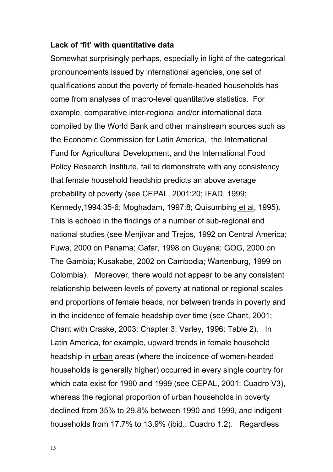#### **Lack of 'fit' with quantitative data**

Somewhat surprisingly perhaps, especially in light of the categorical pronouncements issued by international agencies, one set of qualifications about the poverty of female-headed households has come from analyses of macro-level quantitative statistics. For example, comparative inter-regional and/or international data compiled by the World Bank and other mainstream sources such as the Economic Commission for Latin America, the International Fund for Agricultural Development, and the International Food Policy Research Institute, fail to demonstrate with any consistency that female household headship predicts an above average probability of poverty (see CEPAL, 2001:20; IFAD, 1999; Kennedy,1994:35-6; Moghadam, 1997:8; Quisumbing et al, 1995). This is echoed in the findings of a number of sub-regional and national studies (see Menjívar and Trejos, 1992 on Central America; Fuwa, 2000 on Panama; Gafar, 1998 on Guyana; GOG, 2000 on The Gambia; Kusakabe, 2002 on Cambodia; Wartenburg, 1999 on Colombia). Moreover, there would not appear to be any consistent relationship between levels of poverty at national or regional scales and proportions of female heads, nor between trends in poverty and in the incidence of female headship over time (see Chant, 2001; Chant with Craske, 2003: Chapter 3; Varley, 1996: Table 2). In Latin America, for example, upward trends in female household headship in urban areas (where the incidence of women-headed households is generally higher) occurred in every single country for which data exist for 1990 and 1999 (see CEPAL, 2001: Cuadro V3), whereas the regional proportion of urban households in poverty declined from 35% to 29.8% between 1990 and 1999, and indigent households from 17.7% to 13.9% (ibid.: Cuadro 1.2). Regardless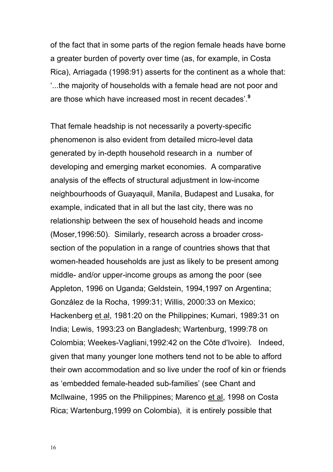of the fact that in some parts of the region female heads have borne a greater burden of poverty over time (as, for example, in Costa Rica), Arriagada (1998:91) asserts for the continent as a whole that: '...the majority of households with a female head are not poor and are those which have increased most in recent decades'.**<sup>9</sup>**

That female headship is not necessarily a poverty-specific phenomenon is also evident from detailed micro-level data generated by in-depth household research in a number of developing and emerging market economies. A comparative analysis of the effects of structural adjustment in low-income neighbourhoods of Guayaquil, Manila, Budapest and Lusaka, for example, indicated that in all but the last city, there was no relationship between the sex of household heads and income (Moser,1996:50). Similarly, research across a broader crosssection of the population in a range of countries shows that that women-headed households are just as likely to be present among middle- and/or upper-income groups as among the poor (see Appleton, 1996 on Uganda; Geldstein, 1994,1997 on Argentina; González de la Rocha, 1999:31; Willis, 2000:33 on Mexico; Hackenberg et al, 1981:20 on the Philippines; Kumari, 1989:31 on India; Lewis, 1993:23 on Bangladesh; Wartenburg, 1999:78 on Colombia; Weekes-Vagliani,1992:42 on the Côte d'Ivoire). Indeed, given that many younger lone mothers tend not to be able to afford their own accommodation and so live under the roof of kin or friends as 'embedded female-headed sub-families' (see Chant and McIlwaine, 1995 on the Philippines; Marenco et al, 1998 on Costa Rica; Wartenburg,1999 on Colombia), it is entirely possible that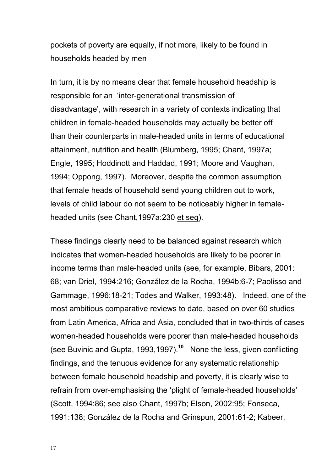pockets of poverty are equally, if not more, likely to be found in households headed by men

In turn, it is by no means clear that female household headship is responsible for an 'inter-generational transmission of disadvantage', with research in a variety of contexts indicating that children in female-headed households may actually be better off than their counterparts in male-headed units in terms of educational attainment, nutrition and health (Blumberg, 1995; Chant, 1997a; Engle, 1995; Hoddinott and Haddad, 1991; Moore and Vaughan, 1994; Oppong, 1997). Moreover, despite the common assumption that female heads of household send young children out to work, levels of child labour do not seem to be noticeably higher in femaleheaded units (see Chant,1997a:230 et seq).

These findings clearly need to be balanced against research which indicates that women-headed households are likely to be poorer in income terms than male-headed units (see, for example, Bibars, 2001: 68; van Driel, 1994:216; González de la Rocha, 1994b:6-7; Paolisso and Gammage, 1996:18-21; Todes and Walker, 1993:48). Indeed, one of the most ambitious comparative reviews to date, based on over 60 studies from Latin America, Africa and Asia, concluded that in two-thirds of cases women-headed households were poorer than male-headed households (see Buvinic and Gupta, 1993,1997).**<sup>10</sup>** None the less, given conflicting findings, and the tenuous evidence for any systematic relationship between female household headship and poverty, it is clearly wise to refrain from over-emphasising the 'plight of female-headed households' (Scott, 1994:86; see also Chant, 1997b; Elson, 2002:95; Fonseca, 1991:138; González de la Rocha and Grinspun, 2001:61-2; Kabeer,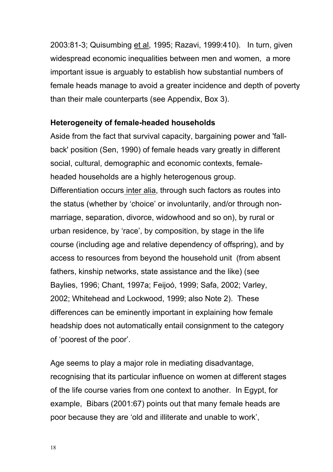2003:81-3; Quisumbing et al, 1995; Razavi, 1999:410). In turn, given widespread economic inequalities between men and women, a more important issue is arguably to establish how substantial numbers of female heads manage to avoid a greater incidence and depth of poverty than their male counterparts (see Appendix, Box 3).

### **Heterogeneity of female-headed households**

Aside from the fact that survival capacity, bargaining power and 'fallback' position (Sen, 1990) of female heads vary greatly in different social, cultural, demographic and economic contexts, femaleheaded households are a highly heterogenous group. Differentiation occurs inter alia, through such factors as routes into the status (whether by 'choice' or involuntarily, and/or through nonmarriage, separation, divorce, widowhood and so on), by rural or urban residence, by 'race', by composition, by stage in the life course (including age and relative dependency of offspring), and by access to resources from beyond the household unit (from absent fathers, kinship networks, state assistance and the like) (see Baylies, 1996; Chant, 1997a; Feijoó, 1999; Safa, 2002; Varley, 2002; Whitehead and Lockwood, 1999; also Note 2). These differences can be eminently important in explaining how female headship does not automatically entail consignment to the category of 'poorest of the poor'.

Age seems to play a major role in mediating disadvantage, recognising that its particular influence on women at different stages of the life course varies from one context to another. In Egypt, for example, Bibars (2001:67) points out that many female heads are poor because they are 'old and illiterate and unable to work',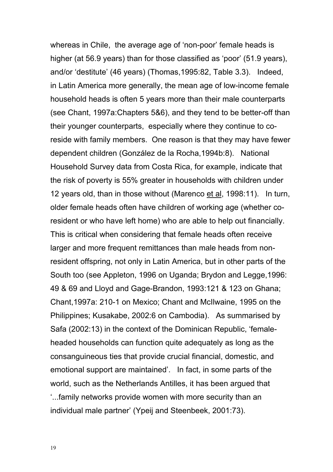whereas in Chile, the average age of 'non-poor' female heads is higher (at 56.9 years) than for those classified as 'poor' (51.9 years), and/or 'destitute' (46 years) (Thomas,1995:82, Table 3.3). Indeed, in Latin America more generally, the mean age of low-income female household heads is often 5 years more than their male counterparts (see Chant, 1997a:Chapters 5&6), and they tend to be better-off than their younger counterparts, especially where they continue to coreside with family members. One reason is that they may have fewer dependent children (González de la Rocha,1994b:8). National Household Survey data from Costa Rica, for example, indicate that the risk of poverty is 55% greater in households with children under 12 years old, than in those without (Marenco et al, 1998:11). In turn, older female heads often have children of working age (whether coresident or who have left home) who are able to help out financially. This is critical when considering that female heads often receive larger and more frequent remittances than male heads from nonresident offspring, not only in Latin America, but in other parts of the South too (see Appleton, 1996 on Uganda; Brydon and Legge,1996: 49 & 69 and Lloyd and Gage-Brandon, 1993:121 & 123 on Ghana; Chant,1997a: 210-1 on Mexico; Chant and McIlwaine, 1995 on the Philippines; Kusakabe, 2002:6 on Cambodia). As summarised by Safa (2002:13) in the context of the Dominican Republic, 'femaleheaded households can function quite adequately as long as the consanguineous ties that provide crucial financial, domestic, and emotional support are maintained'. In fact, in some parts of the world, such as the Netherlands Antilles, it has been argued that '...family networks provide women with more security than an individual male partner' (Ypeij and Steenbeek, 2001:73).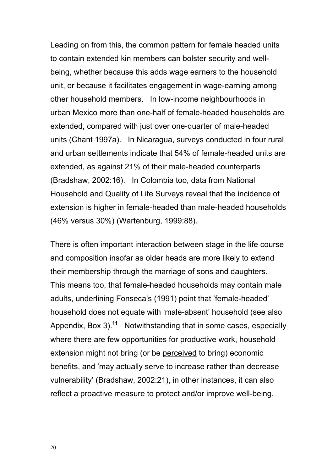Leading on from this, the common pattern for female headed units to contain extended kin members can bolster security and wellbeing, whether because this adds wage earners to the household unit, or because it facilitates engagement in wage-earning among other household members. In low-income neighbourhoods in urban Mexico more than one-half of female-headed households are extended, compared with just over one-quarter of male-headed units (Chant 1997a). In Nicaragua, surveys conducted in four rural and urban settlements indicate that 54% of female-headed units are extended, as against 21% of their male-headed counterparts (Bradshaw, 2002:16). In Colombia too, data from National Household and Quality of Life Surveys reveal that the incidence of extension is higher in female-headed than male-headed households (46% versus 30%) (Wartenburg, 1999:88).

There is often important interaction between stage in the life course and composition insofar as older heads are more likely to extend their membership through the marriage of sons and daughters. This means too, that female-headed households may contain male adults, underlining Fonseca's (1991) point that 'female-headed' household does not equate with 'male-absent' household (see also Appendix, Box 3).**<sup>11</sup>** Notwithstanding that in some cases, especially where there are few opportunities for productive work, household extension might not bring (or be perceived to bring) economic benefits, and 'may actually serve to increase rather than decrease vulnerability' (Bradshaw, 2002:21), in other instances, it can also reflect a proactive measure to protect and/or improve well-being.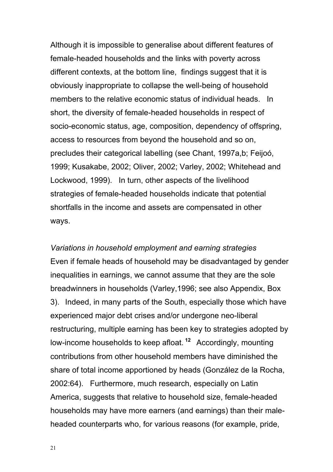Although it is impossible to generalise about different features of female-headed households and the links with poverty across different contexts, at the bottom line, findings suggest that it is obviously inappropriate to collapse the well-being of household members to the relative economic status of individual heads. In short, the diversity of female-headed households in respect of socio-economic status, age, composition, dependency of offspring, access to resources from beyond the household and so on, precludes their categorical labelling (see Chant, 1997a,b; Feijoó, 1999; Kusakabe, 2002; Oliver, 2002; Varley, 2002; Whitehead and Lockwood, 1999). In turn, other aspects of the livelihood strategies of female-headed households indicate that potential shortfalls in the income and assets are compensated in other ways.

*Variations in household employment and earning strategies*  Even if female heads of household may be disadvantaged by gender inequalities in earnings, we cannot assume that they are the sole breadwinners in households (Varley,1996; see also Appendix, Box 3).Indeed, in many parts of the South, especially those which have experienced major debt crises and/or undergone neo-liberal restructuring, multiple earning has been key to strategies adopted by low-income households to keep afloat.<sup>12</sup> Accordingly, mounting contributions from other household members have diminished the share of total income apportioned by heads (González de la Rocha, 2002:64). Furthermore, much research, especially on Latin America, suggests that relative to household size, female-headed households may have more earners (and earnings) than their maleheaded counterparts who, for various reasons (for example, pride,

21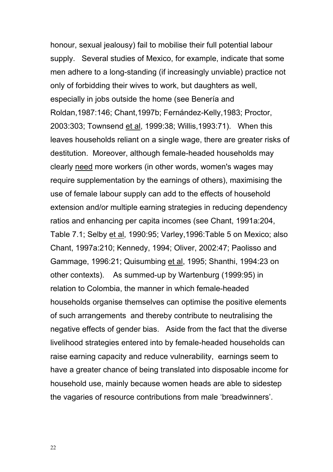honour, sexual jealousy) fail to mobilise their full potential labour supply. Several studies of Mexico, for example, indicate that some men adhere to a long-standing (if increasingly unviable) practice not only of forbidding their wives to work, but daughters as well, especially in jobs outside the home (see Benería and Roldan,1987:146; Chant,1997b; Fernández-Kelly,1983; Proctor, 2003:303; Townsend et al, 1999:38; Willis,1993:71). When this leaves households reliant on a single wage, there are greater risks of destitution. Moreover, although female-headed households may clearly need more workers (in other words, women's wages may require supplementation by the earnings of others), maximising the use of female labour supply can add to the effects of household extension and/or multiple earning strategies in reducing dependency ratios and enhancing per capita incomes (see Chant, 1991a:204, Table 7.1; Selby et al, 1990:95; Varley,1996:Table 5 on Mexico; also Chant, 1997a:210; Kennedy, 1994; Oliver, 2002:47; Paolisso and Gammage, 1996:21; Quisumbing et al, 1995; Shanthi, 1994:23 on other contexts). As summed-up by Wartenburg (1999:95) in relation to Colombia, the manner in which female-headed households organise themselves can optimise the positive elements of such arrangements and thereby contribute to neutralising the negative effects of gender bias. Aside from the fact that the diverse livelihood strategies entered into by female-headed households can raise earning capacity and reduce vulnerability, earnings seem to have a greater chance of being translated into disposable income for household use, mainly because women heads are able to sidestep the vagaries of resource contributions from male 'breadwinners'.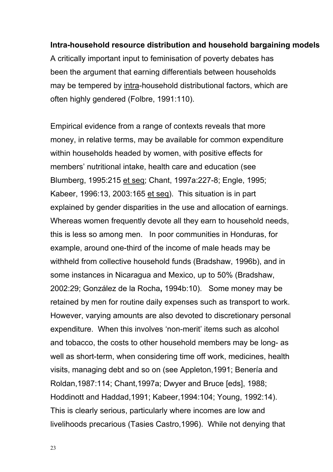### **Intra-household resource distribution and household bargaining models**

A critically important input to feminisation of poverty debates has been the argument that earning differentials between households may be tempered by intra-household distributional factors, which are often highly gendered (Folbre, 1991:110).

Empirical evidence from a range of contexts reveals that more money, in relative terms, may be available for common expenditure within households headed by women, with positive effects for members' nutritional intake, health care and education (see Blumberg, 1995:215 et seq; Chant, 1997a:227-8; Engle, 1995; Kabeer, 1996:13, 2003:165 et seq). This situation is in part explained by gender disparities in the use and allocation of earnings. Whereas women frequently devote all they earn to household needs, this is less so among men. In poor communities in Honduras, for example, around one-third of the income of male heads may be withheld from collective household funds (Bradshaw, 1996b), and in some instances in Nicaragua and Mexico, up to 50% (Bradshaw, 2002:29; González de la Rocha**,** 1994b:10). Some money may be retained by men for routine daily expenses such as transport to work. However, varying amounts are also devoted to discretionary personal expenditure. When this involves 'non-merit' items such as alcohol and tobacco, the costs to other household members may be long- as well as short-term, when considering time off work, medicines, health visits, managing debt and so on (see Appleton,1991; Benería and Roldan,1987:114; Chant,1997a; Dwyer and Bruce [eds], 1988; Hoddinott and Haddad,1991; Kabeer,1994:104; Young, 1992:14). This is clearly serious, particularly where incomes are low and livelihoods precarious (Tasies Castro,1996). While not denying that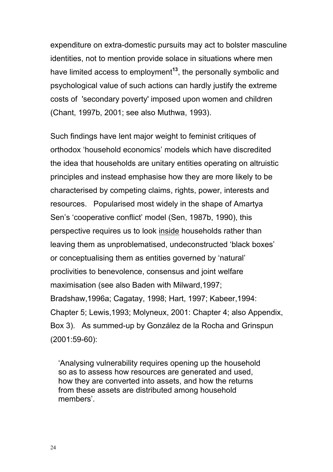expenditure on extra-domestic pursuits may act to bolster masculine identities, not to mention provide solace in situations where men have limited access to employment**<sup>13</sup>**, the personally symbolic and psychological value of such actions can hardly justify the extreme costs of 'secondary poverty' imposed upon women and children (Chant, 1997b, 2001; see also Muthwa, 1993).

Such findings have lent major weight to feminist critiques of orthodox 'household economics' models which have discredited the idea that households are unitary entities operating on altruistic principles and instead emphasise how they are more likely to be characterised by competing claims, rights, power, interests and resources. Popularised most widely in the shape of Amartya Sen's 'cooperative conflict' model (Sen, 1987b, 1990), this perspective requires us to look inside households rather than leaving them as unproblematised, undeconstructed 'black boxes' or conceptualising them as entities governed by 'natural' proclivities to benevolence, consensus and joint welfare maximisation (see also Baden with Milward,1997; Bradshaw,1996a; Cagatay, 1998; Hart, 1997; Kabeer,1994: Chapter 5; Lewis,1993; Molyneux, 2001: Chapter 4; also Appendix, Box 3). As summed-up by González de la Rocha and Grinspun (2001:59-60):

'Analysing vulnerability requires opening up the household so as to assess how resources are generated and used, how they are converted into assets, and how the returns from these assets are distributed among household members'.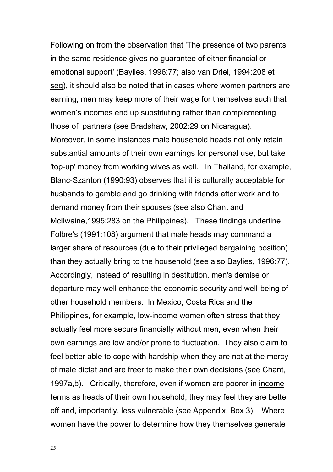Following on from the observation that 'The presence of two parents in the same residence gives no guarantee of either financial or emotional support' (Baylies, 1996:77; also van Driel, 1994:208 et seq), it should also be noted that in cases where women partners are earning, men may keep more of their wage for themselves such that women's incomes end up substituting rather than complementing those of partners (see Bradshaw, 2002:29 on Nicaragua). Moreover, in some instances male household heads not only retain substantial amounts of their own earnings for personal use, but take 'top-up' money from working wives as well. In Thailand, for example, Blanc-Szanton (1990:93) observes that it is culturally acceptable for husbands to gamble and go drinking with friends after work and to demand money from their spouses (see also Chant and McIlwaine,1995:283 on the Philippines). These findings underline Folbre's (1991:108) argument that male heads may command a larger share of resources (due to their privileged bargaining position) than they actually bring to the household (see also Baylies, 1996:77). Accordingly, instead of resulting in destitution, men's demise or departure may well enhance the economic security and well-being of other household members. In Mexico, Costa Rica and the Philippines, for example, low-income women often stress that they actually feel more secure financially without men, even when their own earnings are low and/or prone to fluctuation. They also claim to feel better able to cope with hardship when they are not at the mercy of male dictat and are freer to make their own decisions (see Chant, 1997a,b). Critically, therefore, even if women are poorer in income terms as heads of their own household, they may feel they are better off and, importantly, less vulnerable (see Appendix, Box 3). Where women have the power to determine how they themselves generate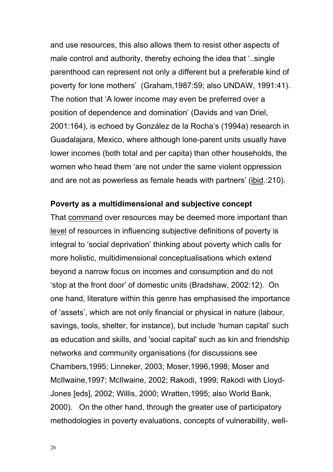and use resources, this also allows them to resist other aspects of male control and authority, thereby echoing the idea that '..single parenthood can represent not only a different but a preferable kind of poverty for lone mothers' (Graham,1987:59; also UNDAW, 1991:41). The notion that 'A lower income may even be preferred over a position of dependence and domination' (Davids and van Driel, 2001:164), is echoed by González de la Rocha's (1994a) research in Guadalajara, Mexico, where although lone-parent units usually have lower incomes (both total and per capita) than other households, the women who head them 'are not under the same violent oppression and are not as powerless as female heads with partners' (ibid.:210).

#### **Poverty as a multidimensional and subjective concept**

That command over resources may be deemed more important than level of resources in influencing subjective definitions of poverty is integral to 'social deprivation' thinking about poverty which calls for more holistic, multidimensional conceptualisations which extend beyond a narrow focus on incomes and consumption and do not 'stop at the front door' of domestic units (Bradshaw, 2002:12). On one hand, literature within this genre has emphasised the importance of 'assets', which are not only financial or physical in nature (labour, savings, tools, shelter, for instance), but include 'human capital' such as education and skills, and 'social capital' such as kin and friendship networks and community organisations (for discussions see Chambers,1995; Linneker, 2003; Moser,1996,1998; Moser and McIlwaine,1997; McIlwaine, 2002; Rakodi, 1999; Rakodi with Lloyd-Jones [eds], 2002; Willis, 2000; Wratten,1995; also World Bank, 2000). On the other hand, through the greater use of participatory methodologies in poverty evaluations, concepts of vulnerability, well-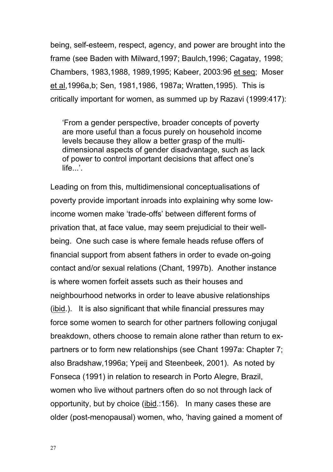being, self-esteem, respect, agency, and power are brought into the frame (see Baden with Milward,1997; Baulch,1996; Cagatay, 1998; Chambers, 1983,1988, 1989,1995; Kabeer, 2003:96 et seq; Moser et al,1996a,b; Sen, 1981,1986, 1987a; Wratten,1995). This is critically important for women, as summed up by Razavi (1999:417):

'From a gender perspective, broader concepts of poverty are more useful than a focus purely on household income levels because they allow a better grasp of the multidimensional aspects of gender disadvantage, such as lack of power to control important decisions that affect one's life...'.

Leading on from this, multidimensional conceptualisations of poverty provide important inroads into explaining why some lowincome women make 'trade-offs' between different forms of privation that, at face value, may seem prejudicial to their wellbeing. One such case is where female heads refuse offers of financial support from absent fathers in order to evade on-going contact and/or sexual relations (Chant, 1997b). Another instance is where women forfeit assets such as their houses and neighbourhood networks in order to leave abusive relationships (ibid.). It is also significant that while financial pressures may force some women to search for other partners following conjugal breakdown, others choose to remain alone rather than return to expartners or to form new relationships (see Chant 1997a: Chapter 7; also Bradshaw,1996a; Ypeij and Steenbeek, 2001). As noted by Fonseca (1991) in relation to research in Porto Alegre, Brazil, women who live without partners often do so not through lack of opportunity, but by choice (ibid.:156). In many cases these are older (post-menopausal) women, who, 'having gained a moment of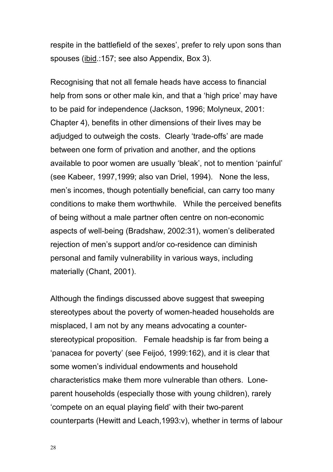respite in the battlefield of the sexes', prefer to rely upon sons than spouses (ibid.:157; see also Appendix, Box 3).

Recognising that not all female heads have access to financial help from sons or other male kin, and that a 'high price' may have to be paid for independence (Jackson, 1996; Molyneux, 2001: Chapter 4), benefits in other dimensions of their lives may be adjudged to outweigh the costs. Clearly 'trade-offs' are made between one form of privation and another, and the options available to poor women are usually 'bleak', not to mention 'painful' (see Kabeer, 1997,1999; also van Driel, 1994). None the less, men's incomes, though potentially beneficial, can carry too many conditions to make them worthwhile. While the perceived benefits of being without a male partner often centre on non-economic aspects of well-being (Bradshaw, 2002:31), women's deliberated rejection of men's support and/or co-residence can diminish personal and family vulnerability in various ways, including materially (Chant, 2001).

Although the findings discussed above suggest that sweeping stereotypes about the poverty of women-headed households are misplaced, I am not by any means advocating a counterstereotypical proposition. Female headship is far from being a 'panacea for poverty' (see Feijoó, 1999:162), and it is clear that some women's individual endowments and household characteristics make them more vulnerable than others. Loneparent households (especially those with young children), rarely 'compete on an equal playing field' with their two-parent counterparts (Hewitt and Leach,1993:v), whether in terms of labour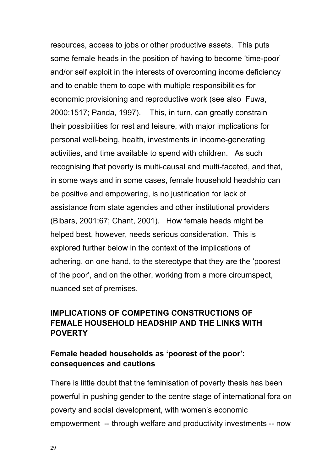resources, access to jobs or other productive assets. This puts some female heads in the position of having to become 'time-poor' and/or self exploit in the interests of overcoming income deficiency and to enable them to cope with multiple responsibilities for economic provisioning and reproductive work (see also Fuwa, 2000:1517; Panda, 1997). This, in turn, can greatly constrain their possibilities for rest and leisure, with major implications for personal well-being, health, investments in income-generating activities, and time available to spend with children. As such recognising that poverty is multi-causal and multi-faceted, and that, in some ways and in some cases, female household headship can be positive and empowering, is no justification for lack of assistance from state agencies and other institutional providers (Bibars, 2001:67; Chant, 2001). How female heads might be helped best, however, needs serious consideration. This is explored further below in the context of the implications of adhering, on one hand, to the stereotype that they are the 'poorest of the poor', and on the other, working from a more circumspect, nuanced set of premises.

## **IMPLICATIONS OF COMPETING CONSTRUCTIONS OF FEMALE HOUSEHOLD HEADSHIP AND THE LINKS WITH POVERTY**

## **Female headed households as 'poorest of the poor': consequences and cautions**

There is little doubt that the feminisation of poverty thesis has been powerful in pushing gender to the centre stage of international fora on poverty and social development, with women's economic empowerment -- through welfare and productivity investments -- now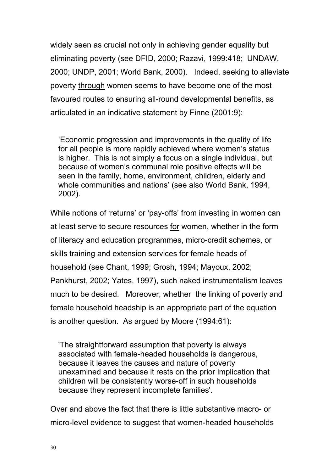widely seen as crucial not only in achieving gender equality but eliminating poverty (see DFID, 2000; Razavi, 1999:418; UNDAW, 2000; UNDP, 2001; World Bank, 2000). Indeed, seeking to alleviate poverty through women seems to have become one of the most favoured routes to ensuring all-round developmental benefits, as articulated in an indicative statement by Finne (2001:9):

'Economic progression and improvements in the quality of life for all people is more rapidly achieved where women's status is higher. This is not simply a focus on a single individual, but because of women's communal role positive effects will be seen in the family, home, environment, children, elderly and whole communities and nations' (see also World Bank, 1994, 2002).

While notions of 'returns' or 'pay-offs' from investing in women can at least serve to secure resources for women, whether in the form of literacy and education programmes, micro-credit schemes, or skills training and extension services for female heads of household (see Chant, 1999; Grosh, 1994; Mayoux, 2002; Pankhurst, 2002; Yates, 1997), such naked instrumentalism leaves much to be desired. Moreover, whether the linking of poverty and female household headship is an appropriate part of the equation is another question. As argued by Moore (1994:61):

'The straightforward assumption that poverty is always associated with female-headed households is dangerous, because it leaves the causes and nature of poverty unexamined and because it rests on the prior implication that children will be consistently worse-off in such households because they represent incomplete families'.

Over and above the fact that there is little substantive macro- or micro-level evidence to suggest that women-headed households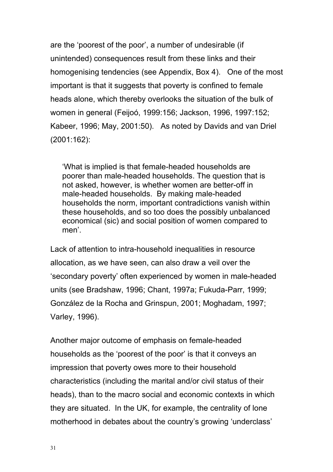are the 'poorest of the poor', a number of undesirable (if unintended) consequences result from these links and their homogenising tendencies (see Appendix, Box 4). One of the most important is that it suggests that poverty is confined to female heads alone, which thereby overlooks the situation of the bulk of women in general (Feijoó, 1999:156; Jackson, 1996, 1997:152; Kabeer, 1996; May, 2001:50). As noted by Davids and van Driel (2001:162):

'What is implied is that female-headed households are poorer than male-headed households. The question that is not asked, however, is whether women are better-off in male-headed households. By making male-headed households the norm, important contradictions vanish within these households, and so too does the possibly unbalanced economical (sic) and social position of women compared to men'.

Lack of attention to intra-household inequalities in resource allocation, as we have seen, can also draw a veil over the 'secondary poverty' often experienced by women in male-headed units (see Bradshaw, 1996; Chant, 1997a; Fukuda-Parr, 1999; González de la Rocha and Grinspun, 2001; Moghadam, 1997; Varley, 1996).

Another major outcome of emphasis on female-headed households as the 'poorest of the poor' is that it conveys an impression that poverty owes more to their household characteristics (including the marital and/or civil status of their heads), than to the macro social and economic contexts in which they are situated. In the UK, for example, the centrality of lone motherhood in debates about the country's growing 'underclass'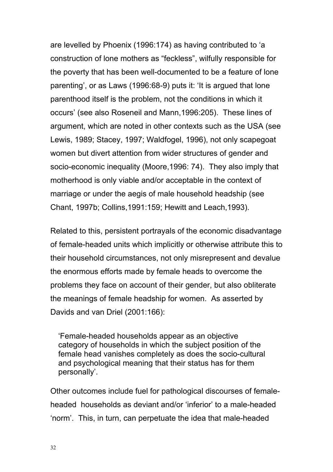are levelled by Phoenix (1996:174) as having contributed to 'a construction of lone mothers as "feckless", wilfully responsible for the poverty that has been well-documented to be a feature of lone parenting', or as Laws (1996:68-9) puts it: 'It is argued that lone parenthood itself is the problem, not the conditions in which it occurs' (see also Roseneil and Mann,1996:205). These lines of argument, which are noted in other contexts such as the USA (see Lewis, 1989; Stacey, 1997; Waldfogel, 1996), not only scapegoat women but divert attention from wider structures of gender and socio-economic inequality (Moore,1996: 74). They also imply that motherhood is only viable and/or acceptable in the context of marriage or under the aegis of male household headship (see Chant, 1997b; Collins,1991:159; Hewitt and Leach,1993).

Related to this, persistent portrayals of the economic disadvantage of female-headed units which implicitly or otherwise attribute this to their household circumstances, not only misrepresent and devalue the enormous efforts made by female heads to overcome the problems they face on account of their gender, but also obliterate the meanings of female headship for women. As asserted by Davids and van Driel (2001:166):

'Female-headed households appear as an objective category of households in which the subject position of the female head vanishes completely as does the socio-cultural and psychological meaning that their status has for them personally'.

Other outcomes include fuel for pathological discourses of femaleheaded households as deviant and/or 'inferior' to a male-headed 'norm'. This, in turn, can perpetuate the idea that male-headed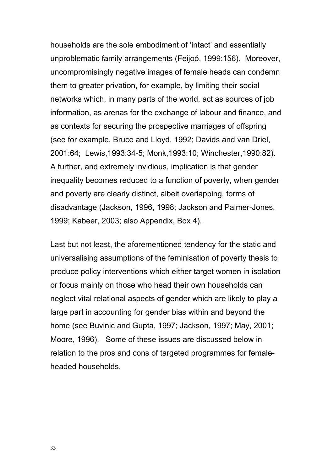households are the sole embodiment of 'intact' and essentially unproblematic family arrangements (Feijoó, 1999:156). Moreover, uncompromisingly negative images of female heads can condemn them to greater privation, for example, by limiting their social networks which, in many parts of the world, act as sources of job information, as arenas for the exchange of labour and finance, and as contexts for securing the prospective marriages of offspring (see for example, Bruce and Lloyd, 1992; Davids and van Driel, 2001:64; Lewis,1993:34-5; Monk,1993:10; Winchester,1990:82). A further, and extremely invidious, implication is that gender inequality becomes reduced to a function of poverty, when gender and poverty are clearly distinct, albeit overlapping, forms of disadvantage (Jackson, 1996, 1998; Jackson and Palmer-Jones, 1999; Kabeer, 2003; also Appendix, Box 4).

Last but not least, the aforementioned tendency for the static and universalising assumptions of the feminisation of poverty thesis to produce policy interventions which either target women in isolation or focus mainly on those who head their own households can neglect vital relational aspects of gender which are likely to play a large part in accounting for gender bias within and beyond the home (see Buvinic and Gupta, 1997; Jackson, 1997; May, 2001; Moore, 1996). Some of these issues are discussed below in relation to the pros and cons of targeted programmes for femaleheaded households.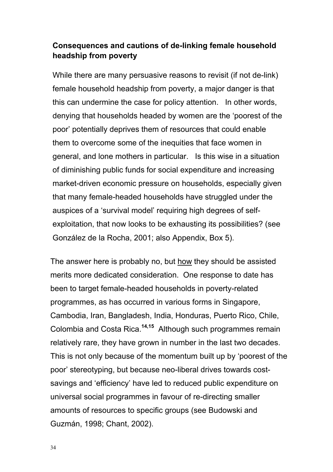## **Consequences and cautions of de-linking female household headship from poverty**

While there are many persuasive reasons to revisit (if not de-link) female household headship from poverty, a major danger is that this can undermine the case for policy attention. In other words, denying that households headed by women are the 'poorest of the poor' potentially deprives them of resources that could enable them to overcome some of the inequities that face women in general, and lone mothers in particular. Is this wise in a situation of diminishing public funds for social expenditure and increasing market-driven economic pressure on households, especially given that many female-headed households have struggled under the auspices of a 'survival model' requiring high degrees of selfexploitation, that now looks to be exhausting its possibilities? (see González de la Rocha, 2001; also Appendix, Box 5).

The answer here is probably no, but how they should be assisted merits more dedicated consideration. One response to date has been to target female-headed households in poverty-related programmes, as has occurred in various forms in Singapore, Cambodia, Iran, Bangladesh, India, Honduras, Puerto Rico, Chile, Colombia and Costa Rica.**14,15** Although such programmes remain relatively rare, they have grown in number in the last two decades. This is not only because of the momentum built up by 'poorest of the poor' stereotyping, but because neo-liberal drives towards costsavings and 'efficiency' have led to reduced public expenditure on universal social programmes in favour of re-directing smaller amounts of resources to specific groups (see Budowski and Guzmán, 1998; Chant, 2002).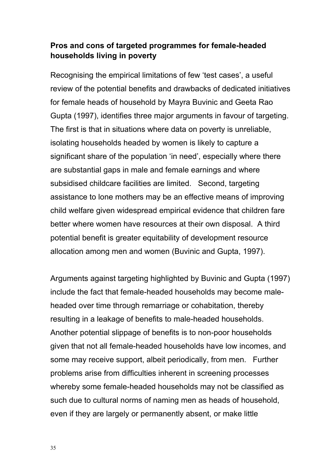## **Pros and cons of targeted programmes for female-headed households living in poverty**

Recognising the empirical limitations of few 'test cases', a useful review of the potential benefits and drawbacks of dedicated initiatives for female heads of household by Mayra Buvinic and Geeta Rao Gupta (1997), identifies three major arguments in favour of targeting. The first is that in situations where data on poverty is unreliable, isolating households headed by women is likely to capture a significant share of the population 'in need', especially where there are substantial gaps in male and female earnings and where subsidised childcare facilities are limited. Second, targeting assistance to lone mothers may be an effective means of improving child welfare given widespread empirical evidence that children fare better where women have resources at their own disposal. A third potential benefit is greater equitability of development resource allocation among men and women (Buvinic and Gupta, 1997).

Arguments against targeting highlighted by Buvinic and Gupta (1997) include the fact that female-headed households may become maleheaded over time through remarriage or cohabitation, thereby resulting in a leakage of benefits to male-headed households. Another potential slippage of benefits is to non-poor households given that not all female-headed households have low incomes, and some may receive support, albeit periodically, from men. Further problems arise from difficulties inherent in screening processes whereby some female-headed households may not be classified as such due to cultural norms of naming men as heads of household, even if they are largely or permanently absent, or make little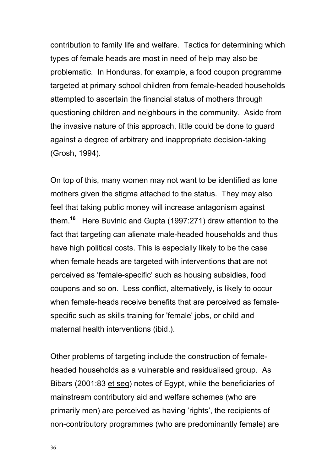contribution to family life and welfare. Tactics for determining which types of female heads are most in need of help may also be problematic. In Honduras, for example, a food coupon programme targeted at primary school children from female-headed households attempted to ascertain the financial status of mothers through questioning children and neighbours in the community. Aside from the invasive nature of this approach, little could be done to guard against a degree of arbitrary and inappropriate decision-taking (Grosh, 1994).

On top of this, many women may not want to be identified as lone mothers given the stigma attached to the status. They may also feel that taking public money will increase antagonism against them.**<sup>16</sup>** Here Buvinic and Gupta (1997:271) draw attention to the fact that targeting can alienate male-headed households and thus have high political costs. This is especially likely to be the case when female heads are targeted with interventions that are not perceived as 'female-specific' such as housing subsidies, food coupons and so on. Less conflict, alternatively, is likely to occur when female-heads receive benefits that are perceived as femalespecific such as skills training for 'female' jobs, or child and maternal health interventions (ibid.).

Other problems of targeting include the construction of femaleheaded households as a vulnerable and residualised group. As Bibars (2001:83 et seq) notes of Egypt, while the beneficiaries of mainstream contributory aid and welfare schemes (who are primarily men) are perceived as having 'rights', the recipients of non-contributory programmes (who are predominantly female) are

36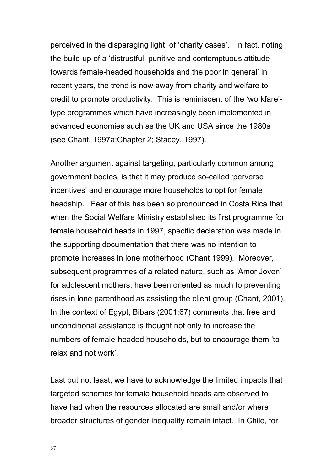perceived in the disparaging light of 'charity cases'. In fact, noting the build-up of a 'distrustful, punitive and contemptuous attitude towards female-headed households and the poor in general' in recent years, the trend is now away from charity and welfare to credit to promote productivity. This is reminiscent of the 'workfare' type programmes which have increasingly been implemented in advanced economies such as the UK and USA since the 1980s (see Chant, 1997a:Chapter 2; Stacey, 1997).

Another argument against targeting, particularly common among government bodies, is that it may produce so-called 'perverse incentives' and encourage more households to opt for female headship. Fear of this has been so pronounced in Costa Rica that when the Social Welfare Ministry established its first programme for female household heads in 1997, specific declaration was made in the supporting documentation that there was no intention to promote increases in lone motherhood (Chant 1999). Moreover, subsequent programmes of a related nature, such as 'Amor Joven' for adolescent mothers, have been oriented as much to preventing rises in lone parenthood as assisting the client group (Chant, 2001). In the context of Egypt, Bibars (2001:67) comments that free and unconditional assistance is thought not only to increase the numbers of female-headed households, but to encourage them 'to relax and not work'.

Last but not least, we have to acknowledge the limited impacts that targeted schemes for female household heads are observed to have had when the resources allocated are small and/or where broader structures of gender inequality remain intact. In Chile, for

37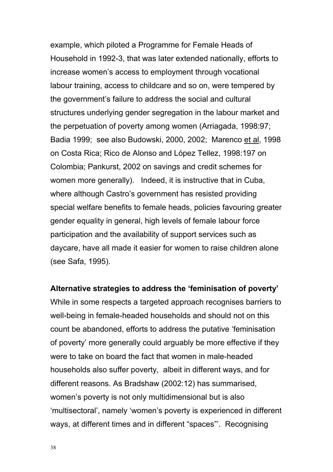example, which piloted a Programme for Female Heads of Household in 1992-3, that was later extended nationally, efforts to increase women's access to employment through vocational labour training, access to childcare and so on, were tempered by the government's failure to address the social and cultural structures underlying gender segregation in the labour market and the perpetuation of poverty among women (Arriagada, 1998:97; Badia 1999; see also Budowski, 2000, 2002; Marenco et al, 1998 on Costa Rica; Rico de Alonso and López Tellez, 1998:197 on Colombia; Pankurst, 2002 on savings and credit schemes for women more generally). Indeed, it is instructive that in Cuba, where although Castro's government has resisted providing special welfare benefits to female heads, policies favouring greater gender equality in general, high levels of female labour force participation and the availability of support services such as daycare, have all made it easier for women to raise children alone (see Safa, 1995).

#### **Alternative strategies to address the 'feminisation of poverty'**

While in some respects a targeted approach recognises barriers to well-being in female-headed households and should not on this count be abandoned, efforts to address the putative 'feminisation of poverty' more generally could arguably be more effective if they were to take on board the fact that women in male-headed households also suffer poverty, albeit in different ways, and for different reasons. As Bradshaw (2002:12) has summarised, women's poverty is not only multidimensional but is also 'multisectoral', namely 'women's poverty is experienced in different ways, at different times and in different "spaces"'. Recognising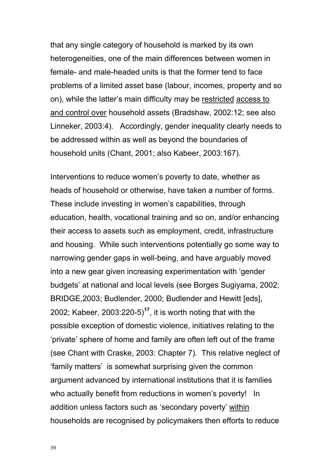that any single category of household is marked by its own heterogeneities, one of the main differences between women in female- and male-headed units is that the former tend to face problems of a limited asset base (labour, incomes, property and so on), while the latter's main difficulty may be restricted access to and control over household assets (Bradshaw, 2002:12; see also Linneker, 2003:4). Accordingly, gender inequality clearly needs to be addressed within as well as beyond the boundaries of household units (Chant, 2001; also Kabeer, 2003:167).

Interventions to reduce women's poverty to date, whether as heads of household or otherwise, have taken a number of forms. These include investing in women's capabilities, through education, health, vocational training and so on, and/or enhancing their access to assets such as employment, credit, infrastructure and housing. While such interventions potentially go some way to narrowing gender gaps in well-being, and have arguably moved into a new gear given increasing experimentation with 'gender budgets' at national and local levels (see Borges Sugiyama, 2002; BRIDGE,2003; Budlender, 2000; Budlender and Hewitt [eds], 2002; Kabeer, 2003:220-5)**<sup>17</sup>**, it is worth noting that with the possible exception of domestic violence, initiatives relating to the 'private' sphere of home and family are often left out of the frame (see Chant with Craske, 2003: Chapter 7). This relative neglect of 'family matters' is somewhat surprising given the common argument advanced by international institutions that it is families who actually benefit from reductions in women's poverty! In addition unless factors such as 'secondary poverty' within households are recognised by policymakers then efforts to reduce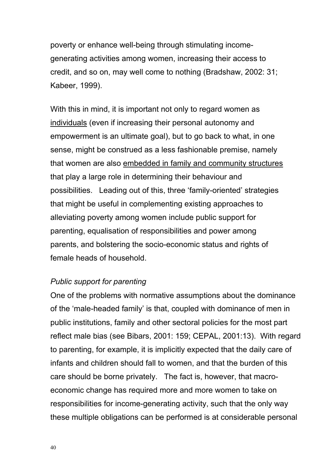poverty or enhance well-being through stimulating incomegenerating activities among women, increasing their access to credit, and so on, may well come to nothing (Bradshaw, 2002: 31; Kabeer, 1999).

With this in mind, it is important not only to regard women as individuals (even if increasing their personal autonomy and empowerment is an ultimate goal), but to go back to what, in one sense, might be construed as a less fashionable premise, namely that women are also embedded in family and community structures that play a large role in determining their behaviour and possibilities. Leading out of this, three 'family-oriented' strategies that might be useful in complementing existing approaches to alleviating poverty among women include public support for parenting, equalisation of responsibilities and power among parents, and bolstering the socio-economic status and rights of female heads of household.

### *Public support for parenting*

One of the problems with normative assumptions about the dominance of the 'male-headed family' is that, coupled with dominance of men in public institutions, family and other sectoral policies for the most part reflect male bias (see Bibars, 2001: 159; CEPAL, 2001:13). With regard to parenting, for example, it is implicitly expected that the daily care of infants and children should fall to women, and that the burden of this care should be borne privately. The fact is, however, that macroeconomic change has required more and more women to take on responsibilities for income-generating activity, such that the only way these multiple obligations can be performed is at considerable personal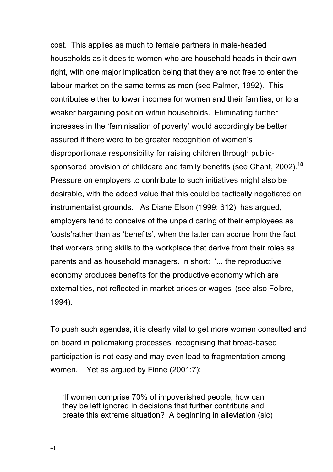cost. This applies as much to female partners in male-headed households as it does to women who are household heads in their own right, with one major implication being that they are not free to enter the labour market on the same terms as men (see Palmer, 1992). This contributes either to lower incomes for women and their families, or to a weaker bargaining position within households. Eliminating further increases in the 'feminisation of poverty' would accordingly be better assured if there were to be greater recognition of women's disproportionate responsibility for raising children through publicsponsored provision of childcare and family benefits (see Chant, 2002).**<sup>18</sup>** Pressure on employers to contribute to such initiatives might also be desirable, with the added value that this could be tactically negotiated on instrumentalist grounds. As Diane Elson (1999: 612), has argued, employers tend to conceive of the unpaid caring of their employees as 'costs'rather than as 'benefits', when the latter can accrue from the fact that workers bring skills to the workplace that derive from their roles as parents and as household managers. In short: '... the reproductive economy produces benefits for the productive economy which are externalities, not reflected in market prices or wages' (see also Folbre, 1994).

To push such agendas, it is clearly vital to get more women consulted and on board in policmaking processes, recognising that broad-based participation is not easy and may even lead to fragmentation among women. Yet as argued by Finne (2001:7):

'If women comprise 70% of impoverished people, how can they be left ignored in decisions that further contribute and create this extreme situation? A beginning in alleviation (sic)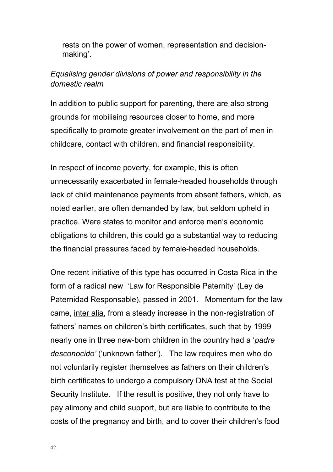rests on the power of women, representation and decisionmaking'.

## *Equalising gender divisions of power and responsibility in the domestic realm*

In addition to public support for parenting, there are also strong grounds for mobilising resources closer to home, and more specifically to promote greater involvement on the part of men in childcare, contact with children, and financial responsibility.

In respect of income poverty, for example, this is often unnecessarily exacerbated in female-headed households through lack of child maintenance payments from absent fathers, which, as noted earlier, are often demanded by law, but seldom upheld in practice. Were states to monitor and enforce men's economic obligations to children, this could go a substantial way to reducing the financial pressures faced by female-headed households.

One recent initiative of this type has occurred in Costa Rica in the form of a radical new 'Law for Responsible Paternity' (Ley de Paternidad Responsable), passed in 2001. Momentum for the law came, inter alia, from a steady increase in the non-registration of fathers' names on children's birth certificates, such that by 1999 nearly one in three new-born children in the country had a '*padre desconocido'* ('unknown father'). The law requires men who do not voluntarily register themselves as fathers on their children's birth certificates to undergo a compulsory DNA test at the Social Security Institute. If the result is positive, they not only have to pay alimony and child support, but are liable to contribute to the costs of the pregnancy and birth, and to cover their children's food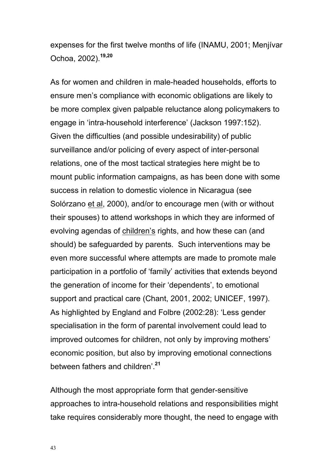expenses for the first twelve months of life (INAMU, 2001; Menjívar Ochoa, 2002).**19,20**

As for women and children in male-headed households, efforts to ensure men's compliance with economic obligations are likely to be more complex given palpable reluctance along policymakers to engage in 'intra-household interference' (Jackson 1997:152). Given the difficulties (and possible undesirability) of public surveillance and/or policing of every aspect of inter-personal relations, one of the most tactical strategies here might be to mount public information campaigns, as has been done with some success in relation to domestic violence in Nicaragua (see Solórzano et al, 2000), and/or to encourage men (with or without their spouses) to attend workshops in which they are informed of evolving agendas of children's rights, and how these can (and should) be safeguarded by parents. Such interventions may be even more successful where attempts are made to promote male participation in a portfolio of 'family' activities that extends beyond the generation of income for their 'dependents', to emotional support and practical care (Chant, 2001, 2002; UNICEF, 1997). As highlighted by England and Folbre (2002:28): 'Less gender specialisation in the form of parental involvement could lead to improved outcomes for children, not only by improving mothers' economic position, but also by improving emotional connections between fathers and children'.**<sup>21</sup>**

Although the most appropriate form that gender-sensitive approaches to intra-household relations and responsibilities might take requires considerably more thought, the need to engage with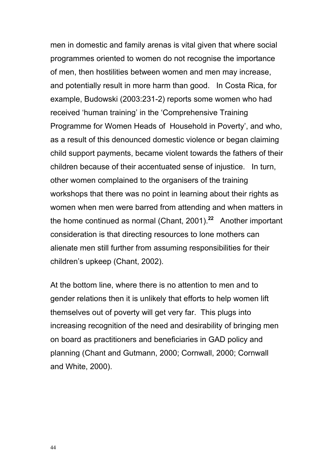men in domestic and family arenas is vital given that where social programmes oriented to women do not recognise the importance of men, then hostilities between women and men may increase, and potentially result in more harm than good. In Costa Rica, for example, Budowski (2003:231-2) reports some women who had received 'human training' in the 'Comprehensive Training Programme for Women Heads of Household in Poverty', and who, as a result of this denounced domestic violence or began claiming child support payments, became violent towards the fathers of their children because of their accentuated sense of injustice. In turn, other women complained to the organisers of the training workshops that there was no point in learning about their rights as women when men were barred from attending and when matters in the home continued as normal (Chant, 2001).**<sup>22</sup>** Another important consideration is that directing resources to lone mothers can alienate men still further from assuming responsibilities for their children's upkeep (Chant, 2002).

At the bottom line, where there is no attention to men and to gender relations then it is unlikely that efforts to help women lift themselves out of poverty will get very far. This plugs into increasing recognition of the need and desirability of bringing men on board as practitioners and beneficiaries in GAD policy and planning (Chant and Gutmann, 2000; Cornwall, 2000; Cornwall and White, 2000).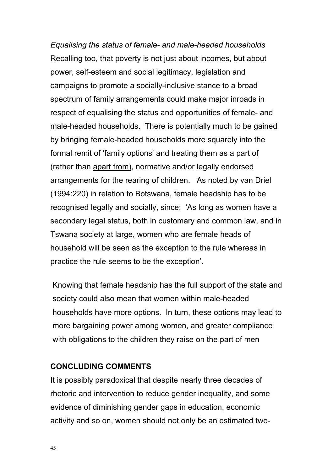*Equalising the status of female- and male-headed households* Recalling too, that poverty is not just about incomes, but about power, self-esteem and social legitimacy, legislation and campaigns to promote a socially-inclusive stance to a broad spectrum of family arrangements could make major inroads in respect of equalising the status and opportunities of female- and male-headed households. There is potentially much to be gained by bringing female-headed households more squarely into the formal remit of 'family options' and treating them as a part of (rather than apart from), normative and/or legally endorsed arrangements for the rearing of children. As noted by van Driel (1994:220) in relation to Botswana, female headship has to be recognised legally and socially, since: 'As long as women have a secondary legal status, both in customary and common law, and in Tswana society at large, women who are female heads of household will be seen as the exception to the rule whereas in practice the rule seems to be the exception'.

Knowing that female headship has the full support of the state and society could also mean that women within male-headed households have more options. In turn, these options may lead to more bargaining power among women, and greater compliance with obligations to the children they raise on the part of men

## **CONCLUDING COMMENTS**

It is possibly paradoxical that despite nearly three decades of rhetoric and intervention to reduce gender inequality, and some evidence of diminishing gender gaps in education, economic activity and so on, women should not only be an estimated two-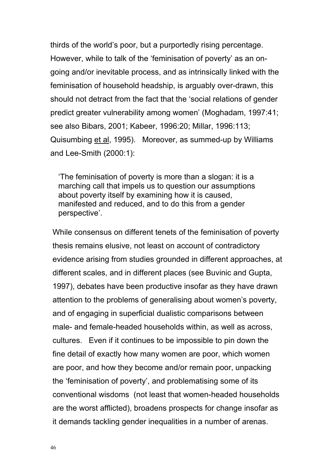thirds of the world's poor, but a purportedly rising percentage. However, while to talk of the 'feminisation of poverty' as an ongoing and/or inevitable process, and as intrinsically linked with the feminisation of household headship, is arguably over-drawn, this should not detract from the fact that the 'social relations of gender predict greater vulnerability among women' (Moghadam, 1997:41; see also Bibars, 2001; Kabeer, 1996:20; Millar, 1996:113; Quisumbing et al, 1995). Moreover, as summed-up by Williams and Lee-Smith (2000:1):

'The feminisation of poverty is more than a slogan: it is a marching call that impels us to question our assumptions about poverty itself by examining how it is caused, manifested and reduced, and to do this from a gender perspective'.

While consensus on different tenets of the feminisation of poverty thesis remains elusive, not least on account of contradictory evidence arising from studies grounded in different approaches, at different scales, and in different places (see Buvinic and Gupta, 1997), debates have been productive insofar as they have drawn attention to the problems of generalising about women's poverty, and of engaging in superficial dualistic comparisons between male- and female-headed households within, as well as across, cultures. Even if it continues to be impossible to pin down the fine detail of exactly how many women are poor, which women are poor, and how they become and/or remain poor, unpacking the 'feminisation of poverty', and problematising some of its conventional wisdoms (not least that women-headed households are the worst afflicted), broadens prospects for change insofar as it demands tackling gender inequalities in a number of arenas.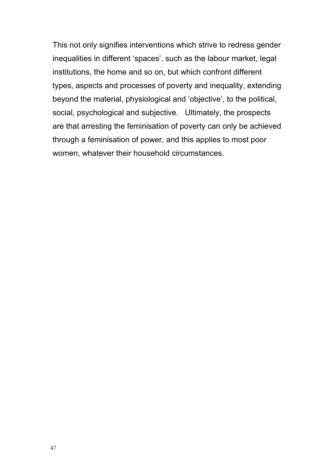This not only signifies interventions which strive to redress gender inequalities in different 'spaces', such as the labour market, legal institutions, the home and so on, but which confront different types, aspects and processes of poverty and inequality, extending beyond the material, physiological and 'objective', to the political, social, psychological and subjective. Ultimately, the prospects are that arresting the feminisation of poverty can only be achieved through a feminisation of power, and this applies to most poor women, whatever their household circumstances.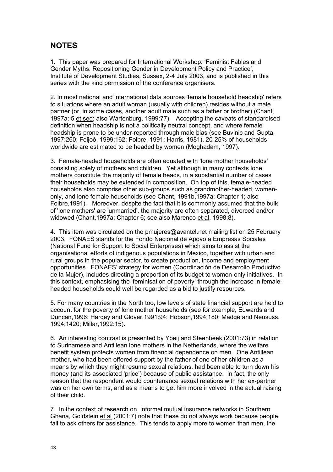## **NOTES**

1. This paper was prepared for International Workshop: 'Feminist Fables and Gender Myths: Repositioning Gender in Development Policy and Practice', Institute of Development Studies, Sussex, 2-4 July 2003, and is published in this series with the kind permission of the conference organisers.

2. In most national and international data sources 'female household headship' refers to situations where an adult woman (usually with children) resides without a male partner (or, in some cases, another adult male such as a father or brother) (Chant, 1997a: 5 et seq; also Wartenburg, 1999:77). Accepting the caveats of standardised definition when headship is not a politically neutral concept, and where female headship is prone to be under-reported through male bias (see Buvinic and Gupta, 1997:260; Feijoó, 1999:162; Folbre, 1991; Harris, 1981), 20-25% of households worldwide are estimated to be headed by women (Moghadam, 1997).

3. Female-headed households are often equated with 'lone mother households' consisting solely of mothers and children. Yet although in many contexts lone mothers constitute the majority of female heads, in a substantial number of cases their households may be extended in composition. On top of this, female-headed households also comprise other sub-groups such as grandmother-headed, womenonly, and lone female households (see Chant, 1991b,1997a: Chapter 1; also Folbre,1991). Moreover, despite the fact that it is commonly assumed that the bulk of 'lone mothers' are 'unmarried', the majority are often separated, divorced and/or widowed (Chant,1997a: Chapter 6; see also Marenco et al, 1998:8).

4. This item was circulated on the pmujeres@avantel.net mailing list on 25 February 2003. FONAES stands for the Fondo Nacional de Apoyo a Empresas Sociales (National Fund for Support to Social Enterprises) which aims to assist the organisational efforts of indigenous populations in Mexico, together with urban and rural groups in the popular sector, to create production, income and employment opportunities. FONAES' strategy for women (Coordinación de Desarrollo Productivo de la Mujer), includes directing a proportion of its budget to women-only initiatives. In this context, emphasising the 'feminisation of poverty' through the increase in femaleheaded households could well be regarded as a bid to justify resources.

5. For many countries in the North too, low levels of state financial support are held to account for the poverty of lone mother households (see for example, Edwards and Duncan,1996; Hardey and Glover,1991:94; Hobson,1994:180; Mädge and Neusüss, 1994:1420; Millar,1992:15).

6. An interesting contrast is presented by Ypeij and Steenbeek (2001:73) in relation to Surinamese and Antillean lone mothers in the Netherlands, where the welfare benefit system protects women from financial dependence on men. One Antillean mother, who had been offered support by the father of one of her children as a means by which they might resume sexual relations, had been able to turn down his money (and its associated 'price') because of public assistance. In fact, the only reason that the respondent would countenance sexual relations with her ex-partner was on her own terms, and as a means to get him more involved in the actual raising of their child.

7. In the context of research on informal mutual insurance networks in Southern Ghana, Goldstein et al (2001:7) note that these do not always work because people fail to ask others for assistance. This tends to apply more to women than men, the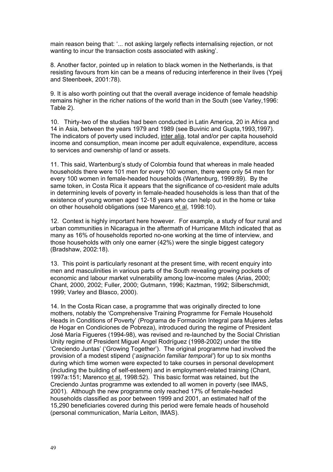main reason being that: '... not asking largely reflects internalising rejection, or not wanting to incur the transaction costs associated with asking'.

8. Another factor, pointed up in relation to black women in the Netherlands, is that resisting favours from kin can be a means of reducing interference in their lives (Ypeij and Steenbeek, 2001:78).

9. It is also worth pointing out that the overall average incidence of female headship remains higher in the richer nations of the world than in the South (see Varley,1996: Table 2).

10. Thirty-two of the studies had been conducted in Latin America, 20 in Africa and 14 in Asia, between the years 1979 and 1989 (see Buvinic and Gupta,1993,1997). The indicators of poverty used included, inter alia, total and/or per capita household income and consumption, mean income per adult equivalence, expenditure, access to services and ownership of land or assets.

11. This said, Wartenburg's study of Colombia found that whereas in male headed households there were 101 men for every 100 women, there were only 54 men for every 100 women in female-headed households (Wartenburg, 1999:89). By the same token, in Costa Rica it appears that the significance of co-resident male adults in determining levels of poverty in female-headed households is less than that of the existence of young women aged 12-18 years who can help out in the home or take on other household obligations (see Marenco et al, 1998:10).

12. Context is highly important here however. For example, a study of four rural and urban communities in Nicaragua in the aftermath of Hurricane Mitch indicated that as many as 16% of households reported no-one working at the time of interview, and those households with only one earner (42%) were the single biggest category (Bradshaw, 2002:18).

13. This point is particularly resonant at the present time, with recent enquiry into men and masculinities in various parts of the South revealing growing pockets of economic and labour market vulnerability among low-income males (Arias, 2000; Chant, 2000, 2002; Fuller, 2000; Gutmann, 1996; Kaztman, 1992; Silberschmidt, 1999; Varley and Blasco, 2000).

14. In the Costa Rican case, a programme that was originally directed to lone mothers, notably the 'Comprehensive Training Programme for Female Household Heads in Conditions of Poverty' (Programa de Formación Integral para Mujeres Jefas de Hogar en Condiciones de Pobreza), introduced during the regime of President José María Figueres (1994-98), was revised and re-launched by the Social Christian Unity regime of President Miguel Angel Rodríguez (1998-2002) under the title 'Creciendo Juntas' ('Growing Together'). The original programme had involved the provision of a modest stipend ('*asignación familiar temporal'*) for up to six months during which time women were expected to take courses in personal development (including the building of self-esteem) and in employment-related training (Chant, 1997a:151; Marenco et al, 1998:52). This basic format was retained, but the Creciendo Juntas programme was extended to all women in poverty (see IMAS, 2001). Although the new programme only reached 17% of female-headed households classified as poor between 1999 and 2001, an estimated half of the 15,290 beneficiaries covered during this period were female heads of household (personal communication, María Leiton, IMAS).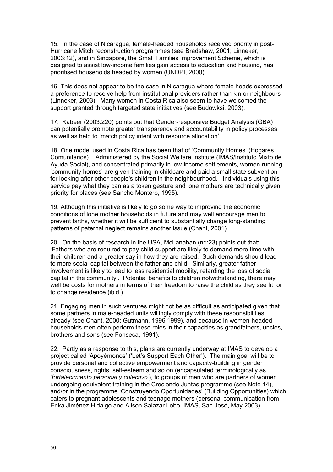15. In the case of Nicaragua, female-headed households received priority in post-Hurricane Mitch reconstruction programmes (see Bradshaw, 2001; Linneker, 2003:12), and in Singapore, the Small Families Improvement Scheme, which is designed to assist low-income families gain access to education and housing, has prioritised households headed by women (UNDPI, 2000).

16. This does not appear to be the case in Nicaragua where female heads expressed a preference to receive help from institutional providers rather than kin or neighbours (Linneker, 2003). Many women in Costa Rica also seem to have welcomed the support granted through targeted state initiatives (see Budowksi, 2003).

17. Kabeer (2003:220) points out that Gender-responsive Budget Analysis (GBA) can potentially promote greater transparency and accountability in policy processes, as well as help to 'match policy intent with resource allocation'.

18. One model used in Costa Rica has been that of 'Community Homes' (Hogares Comunitarios). Administered by the Social Welfare Institute (IMAS/Instituto Mixto de Ayuda Social), and concentrated primarily in low-income settlements, women running 'community homes' are given training in childcare and paid a small state subvention for looking after other people's children in the neighbourhood. Individuals using this service pay what they can as a token gesture and lone mothers are technically given priority for places (see Sancho Montero, 1995).

19. Although this initiative is likely to go some way to improving the economic conditions of lone mother households in future and may well encourage men to prevent births, whether it will be sufficient to substantially change long-standing patterns of paternal neglect remains another issue (Chant, 2001).

20. On the basis of research in the USA, McLanahan (nd:23) points out that: 'Fathers who are required to pay child support are likely to demand more time with their children and a greater say in how they are raised, Such demands should lead to more social capital between the father and child. Similarly, greater father involvement is likely to lead to less residential mobility, retarding the loss of social capital in the community'. Potential benefits to children notwithstanding, there may well be costs for mothers in terms of their freedom to raise the child as they see fit, or to change residence (ibid.).

21. Engaging men in such ventures might not be as difficult as anticipated given that some partners in male-headed units willingly comply with these responsibilities already (see Chant, 2000; Gutmann, 1996,1999), and because in women-headed households men often perform these roles in their capacities as grandfathers, uncles, brothers and sons (see Fonseca, 1991).

22. Partly as a response to this, plans are currently underway at IMAS to develop a project called 'Apoyémonos' ('Let's Support Each Other'). The main goal will be to provide personal and collective empowerment and capacity-building in gender consciousness, rights, self-esteem and so on (encapsulated terminologically as '*fortalecimiento personal y colectivo'*), to groups of men who are partners of women undergoing equivalent training in the Creciendo Juntas programme (see Note 14), and/or in the programme 'Construyendo Oportunidades' (Building Opportunities) which caters to pregnant adolescents and teenage mothers (personal communication from Erika Jiménez Hidalgo and Alison Salazar Lobo, IMAS, San José, May 2003).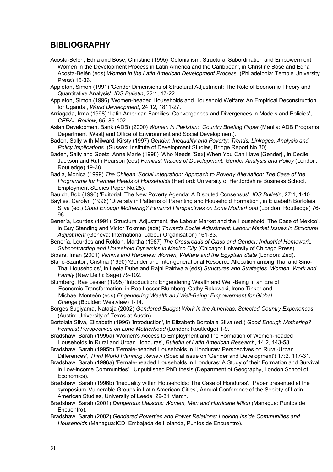### **BIBLIOGRAPHY**

- Acosta-Belén, Edna and Bose, Christine (1995) 'Colonialism, Structural Subordination and Empowerment: Women in the Development Process in Latin America and the Caribbean', in Christine Bose and Edna Acosta-Belén (eds) *Women in the Latin American Development Process* (Philadelphia: Temple University Press) 15-36.
- Appleton, Simon (1991) 'Gender Dimensions of Structural Adjustment: The Role of Economic Theory and Quantitative Analysis', *IDS Bulletin*, 22:1, 17-22.
- Appleton, Simon (1996) 'Women-headed Households and Household Welfare: An Empirical Deconstruction for Uganda', *World Development*, 24:12, 1811-27.
- Arriagada, Irma (1998) 'Latin American Families: Convergences and Divergences in Models and Policies', *CEPAL Review,* 65, 85-102.
- Asian Development Bank (ADB) (2000) *Women in Pakistan: Country Briefing Paper* (Manila: ADB Programs Department [West] and Office of Environment and Social Development).
- Baden, Sally with Milward, Kirsty (1997) *Gender, Inequality and Poverty: Trends, Linkages, Analysis and Policy Implications* (Sussex: Institute of Development Studies, Bridge Report No.30).
- Baden, Sally and Goetz, Anne Marie (1998) 'Who Needs [Sex] When You Can Have [Gender]', in Cecile Jackson and Ruth Pearson (eds) *Feminist Visions of Development: Gender Analysis and Policy* (London: Routledge) 19-38.
- Badia, Monica (1999) *The Chilean 'Social Integration; Approach to Poverty Alleviation: The Case of the Programme for Female Heads of Households* (Hertford: University of Hertfordshire Business School, Employment Studies Paper No.25).
- Baulch, Bob (1996) 'Editorial. The New Poverty Agenda: A Disputed Consensus', *IDS Bulletin*, 27:1, 1-10. Baylies, Carolyn (1996) 'Diversity in Patterns of Parenting and Household Formation', in Elizabeth Bortolaia Silva (ed.) Good Enough Mothering? Feminist Perspectives on Lone Motherhood (London: Routledge) 76-96.
- Benería, Lourdes (1991) 'Structural Adjustment, the Labour Market and the Household: The Case of Mexico', in Guy Standing and Victor Tokman (eds) *Towards Social Adjustment: Labour Market Issues in Structural Adjustment* (Geneva: International Labour Organisation) 161-83.
- Benería, Lourdes and Roldan, Martha (1987) *The Crossroads of Class and Gender: Industrial Homework, Subcontracting and Household Dynamics in Mexico City* (Chicago: University of Chicago Press).
- Bibars, Iman (2001) *Victims and Heroines: Women, Welfare and the Egyptian State* (London: Zed).
- Blanc-Szanton, Cristina (1990) 'Gender and Inter-generational Resource Allocation among Thai and Sino-Thai Households', in Leela Dube and Rajni Palriwala (eds) *Structures and Strategies: Women, Work and Family* (New Delhi: Sage) 79-102.
- Blumberg, Rae Lesser (1995) 'Introduction: Engendering Wealth and Well-Being in an Era of Economic Transformation, in Rae Lesser Blumberg, Cathy Rakowski, Irene Tinker and Michael Monteón (eds) *Engendering Wealth and Well-Being: Empowerment for Global Change* (Boulder: Westview) 1-14.
- Borges Sugiyama, Natasja (2002) *Gendered Budget Work in the Americas: Selected Country Experiences* (Austin: University of Texas at Austin).
- Bortolaia Silva, Elizabeth (1996) 'Introduction', in Elizabeth Bortolaia Silva (ed.) *Good Enough Mothering? Feminist Perspectives on Lone Motherhood* (London: Routledge) 1-9.
- Bradshaw, Sarah (1995a) 'Women's Access to Employment and the Formation of Women-headed Households in Rural and Urban Honduras', *Bulletin of Latin American Research*, 14:2, 143-58.
- Bradshaw, Sarah (1995b) 'Female-headed Households in Honduras: Perspectives on Rural-Urban Differences', *Third World Planning Review* (Special issue on 'Gender and Development') 17:2, 117-31.
- Bradshaw, Sarah (1996a) 'Female-headed Households in Honduras: A Study of their Formation and Survival in Low-income Communities'. Unpublished PhD thesis (Department of Geography, London School of Economics).
- Bradshaw, Sarah (1996b) 'Inequality within Households: The Case of Honduras'. Paper presented at the symposium 'Vulnerable Groups in Latin American Cities', Annual Conference of the Society of Latin American Studies, University of Leeds, 29-31 March.
- Bradshaw, Sarah (2001) *Dangerous Liaisons: Women, Men and Hurricane Mitch* (Managua: Puntos de Encuentro).
- Bradshaw, Sarah (2002) *Gendered Poverties and Power Relations: Looking Inside Communities and Households* (Managua:ICD, Embajada de Holanda, Puntos de Encuentro).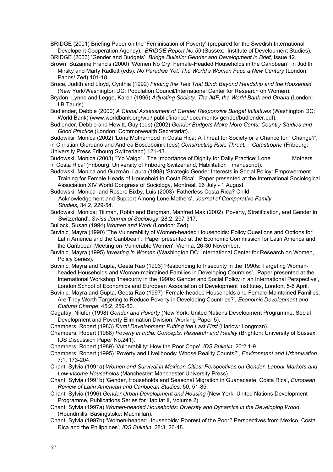BRIDGE (2001) Briefing Paper on the 'Feminisation of Poverty' (prepared for the Swedish International Developent Cooperation Agency). *BRIDGE Report No.59* (Sussex: Institute of Development Studies). BRIDGE (2003) 'Gender and Budgets', *Bridge Bulletin: Gender and Development in Brief*, Issue 12.

Brown, Suzanne Francis (2000) 'Women No Cry: Female-Headed Households in the Caribbean', in Judith Mirsky and Marty Radlett (eds), *No Paradise Yet: The World's Women Face a New Century* (London: Panos/ Zed) 101-18

- Bruce, Judith and Lloyd, Cynthia (1992) *Finding the Ties That Bind: Beyond Headship and the Household* (New York/Washington DC: Population Council/International Center for Research on Women).
- Brydon, Lynne and Legge, Karen (1996) *Adjusting Society: The IMF, the World Bank and Ghana* (London: I.B.Tauris).

Budlender, Debbie (2000) *A Global Assessment of Gender Responsive Budget Initiatives* (Washington DC: World Bank) (www.worldbank.org/wbi/ publicfinance/ documents/ gender/budlender.pdf).

Budlender, Debbie and Hewitt, Guy (eds) (2002) *Gender Budgets Make More Cents: Country Studies and Good Practice* (London: Commonwealth Secretariat).

Budowksi, Monica (2002) 'Lone Motherhood in Costa Rica: A Threat for Society or a Chance for Change?', in Christian Giordano and Andrea Boscoboinik (eds) *Constructing Risk, Threat, Catastrophe* (Fribourg: University Press Fribourg Switzerland) 121-43.

Budowski, Monica (2003) "Yo Valgo". The Importance of Dignity for Daily Practice: Lone Mothers in Costa Rica' (Fribourg: University of Fribourg Switzerland, Habilitation manuscript).

- Budowski, Monica and Guzmán, Laura (1998) 'Strategic Gender Interests in Social Policy: Empowerment Training for Female Heads of Household in Costa Rica'. Paper presented at the International Sociological Association XIV World Congress of Sociology, Montreal, 26 July - 1 August.
- Budowski, Monica and Rosero Bixby, Luis (2003) 'Fatherless Costa Rica? Child Acknowledgement and Support Among Lone Mothers', *Journal of Comparative Family Studies,* 34:2, 229-54.
- Budowski, Monica; Tillman, Robin and Bergman, Manfred Max (2002) 'Poverty, Stratification, and Gender in Switzerland', *Swiss Journal of Sociology*, 28:2, 297-317.
- Bullock, Susan (1994) *Women and Work* (London: Zed).
- Buvinic, Mayra (1990) 'The Vulnerability of Women-headed Households: Policy Questions and Options for Latin America and the Caribbean'. Paper presented at the Economic Commission for Latin America and the Caribbean Meeting on 'Vulnerable Women', Vienna, 26-30 November.
- Buvinic, Mayra (1995) *Investing in Women* (Washington DC: International Center for Research on Women, Policy Series).
- Buvinic, Mayra and Gupta, Geeta Rao (1993) 'Responding to Insecurity in the 1990s: Targeting Womanheaded Households and Woman-maintained Families in Developing Countries'. Paper presented at the International Workshop 'Insecurity in the 1990s: Gender and Social Policy in an International Perspective', London School of Economics and European Association of Development Institutes, London, 5-6 April.
- Buvinic, Mayra and Gupta, Geeta Rao (1997) 'Female-headed Households and Female-Maintained Families: Are They Worth Targeting to Reduce Poverty in Developing Countries?', *Economic Development and Cultural Change*, 45:2, 259-80.
- Cagatay, Nilüfer (1998) *Gender and Poverty* (New York: United Nations Development Programme, Social Development and Poverty Elimination Division, Working Paper 5).

Chambers, Robert (1983) *Rural Development: Putting the Last First* (Harlow: Longman).

Chambers, Robert (1988) *Poverty in India: Concepts, Research and Reality* (Brighton: University of Sussex, IDS Discussion Paper No.241).

- Chambers, Robert (1989) 'Vulnerability: How the Poor Cope', *IDS Bulletin*, 20:2,1-9.
- Chambers, Robert (1995) 'Poverty and Livelihoods: Whose Reality Counts?', *Environment and Urbanisation*, 7:1, 173-204.
- Chant, Sylvia (1991a) *Women and Survival in Mexican Cities: Perspectives on Gender, Labour Markets and Low-income Households* (Manchester: Manchester University Press).
- Chant, Sylvia (1991b) 'Gender, Households and Seasonal Migration in Guanacaste, Costa Rica', *European Review of Latin American and Caribbean Studies*, 50, 51-85.
- Chant, Sylvia (1996) *Gender,Urban Development and Housing* (New York: United Nations Development Programme, Publications Series for Habitat II, Volume 2).
- Chant, Sylvia (1997a) *Women-headed Households: Diversity and Dynamics in the Developing World*  (Houndmills, Basingstoke: Macmillan).
- Chant, Sylvia (1997b) 'Women-headed Households: Poorest of the Poor? Perspectives from Mexico, Costa Rica and the Philippines', *IDS Bulletin*, 28:3, 26-48.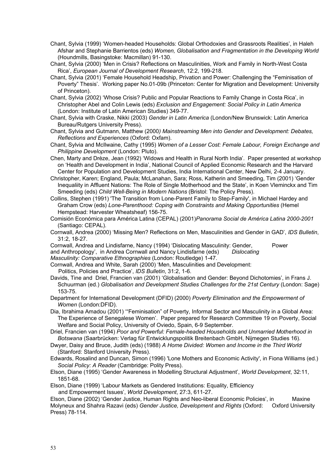- Chant, Sylvia (1999) 'Women-headed Households: Global Orthodoxies and Grassroots Realities', in Haleh Afshar and Stephanie Barrientos (eds) *Women, Globalisation and Fragmentation in the Developing World* (Houndmills, Basingstoke: Macmillan) 91-130.
- Chant, Sylvia (2000) 'Men in Crisis? Reflections on Masculinities, Work and Family in North-West Costa Rica', *European Journal of Development Research*, 12:2, 199-218.
- Chant, Sylvia (2001) 'Female Household Headship, Privation and Power: Challenging the "Feminisation of Poverty" Thesis'. Working paper No.01-09b (Princeton: Center for Migration and Development: University of Princeton).
- Chant, Sylvia (2002) 'Whose Crisis? Public and Popular Reactions to Family Change in Costa Rica', in Christopher Abel and Colin Lewis (eds) *Exclusion and Engagement: Social Policy in Latin America* (London: Institute of Latin American Studies) 349-77.
- Chant, Sylvia with Craske, Nikki (2003) *Gender in Latin America* (London/New Brunswick: Latin America Bureau/Rutgers University Press).
- Chant, Sylvia and Gutmann, Matthew (2000*) Mainstreaming Men into Gender and Development: Debates, Reflections and Experiences* (Oxford: Oxfam).
- Chant, Sylvia and McIlwaine, Cathy (1995) *Women of a Lesser Cost: Female Labour, Foreign Exchange and Philippine Development* (London: Pluto).
- Chen, Marty and Drèze, Jean (1992) 'Widows and Health in Rural North India'. Paper presented at workshop on 'Health and Development in India', National Council of Applied Economic Research and the Harvard Center for Population and Development Studies, India International Center, New Delhi, 2-4 January.
- Christopher, Karen; England, Paula; McLanahan, Sara; Ross, Katherin and Smeeding, Tim (2001) 'Gender Inequaliity in Affluent Nations: The Role of Single Motherhood and the State', in Koen Vleminckx and Tim Smeeding (eds) *Child Well-Being in Modern Nations* (Bristol: The Policy Press).
- Collins, Stephen (1991) 'The Transition from Lone-Parent Family to Step-Family', in Michael Hardey and Graham Crow (eds) *Lone-Parenthood: Coping with Constraints and Making Opportunities* (Hemel Hempstead: Harvester Wheatsheaf) 156-75.
- Comisión Económica para América Latina (CEPAL) (2001)*Panorama Social de América Latina 2000-2001* (Santiago: CEPAL).
- Cornwall, Andrea (2000) 'Missing Men? Reflections on Men, Masculinities and Gender in GAD', *IDS Bulletin*, 31:2, 18-27.
- Cornwall, Andrea and Lindisfarne, Nancy (1994) 'Dislocating Masculinity: Gender, Power and Anthropology', in Andrea Cornwall and Nancy Lindisfarne (eds) *Dislocating*

*Masculinity: Comparative Ethnographies* (London: Routledge) 1-47.

- Cornwall, Andrea and White, Sarah (2000) 'Men, Masculinities and Development:
	- Politics, Policies and Practice', *IDS Bulletin*, 31:2, 1-6.
- Davids, Tine and Driel, Francien van (2001) 'Globalisation and Gender: Beyond Dichotomies', in Frans J. Schuurman (ed.) *Globalisation and Development Studies Challenges for the 21st Century* (London: Sage) 153-75.
- Department for International Development (DFID) (2000) *Poverty Elimination and the Empowerment of Women* (London:DFID).
- Dia, Ibrahima Amadou (2001) '"Feminisation" of Poverty, Informal Sector and Masculinity in a Global Area: The Experience of Senegalese Women'. Paper prepared for Research Committee 19 on Poverty, Social Welfare and Social Policy, University of Oviedo, Spain, 6-9 September.
- Driel, Francien van (1994) *Poor and Powerful: Female-headed Households and Unmarried Motherhood in Botswana* (Saarbrücken: Verlag für Entwicklungspolitik Breitenbach GmbH, Nijmegen Studies 16).
- Dwyer, Daisy and Bruce, Judith (eds) (1988) *A Home Divided: Women and Income in the Third World*  (Stanford: Stanford University Press).
- Edwards, Rosalind and Duncan, Simon (1996) 'Lone Mothers and Economic Activity', in Fiona Williams (ed.) *Social Policy: A Reader* (Cambridge: Polity Press).
- Elson, Diane (1995) 'Gender Awareness in Modelling Structural Adjustment', *World Development*, 32:11, 1851-68.
- Elson, Diane (1999) 'Labour Markets as Gendered Institutions: Equality, Efficiency

and Empowerment Issues', *World Development*, 27:3, 611-27.

Elson, Diane (2002) 'Gender Justice, Human Rights and Neo-liberal Economic Policies', in Maxine Molyneux and Shahra Razavi (eds) *Gender Justice, Development and Rights* (Oxford: Oxford University Press) 78-114.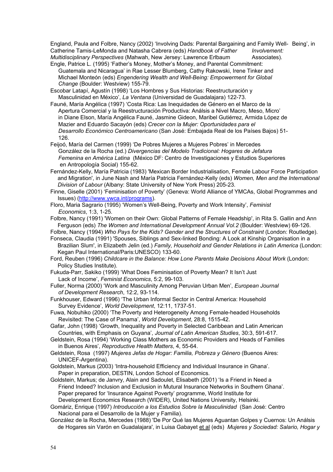England, Paula and Folbre, Nancy (2002) 'Involving Dads: Parental Bargaining and Family Well- Being', in Catherine Tamis-LeMonda and Natasha Cabrera (eds) *Handbook of Father Involvement: Multidisciplinary Perspectives* (Mahwah, New Jersey: Lawrence Erlbaum Associates).

- Engle, Patrice L. (1995) 'Father's Money, Mother's Money, and Parental Commitment: Guatemala and Nicaragua' in Rae Lesser Blumberg, Cathy Rakowski, Irene Tinker and Michael Monteón (eds) *Engendering Wealth and Well-Being: Empowerment for Global Change* (Boulder: Westview) 155-79.
- Escobar Latapí, Agustín (1998) 'Los Hombres y Sus Historias: Reestructuración y Masculinidad en México', *La Ventana* (Universidad de Guadalajara) 122-73.
- Fauné, María Angélica (1997) 'Costa Rica: Las Inequidades de Género en el Marco de la Apertura Comercial y la Reestructuración Productiva: Análsis a Nivel Macro, Meso, Micro' in Diane Elson, María Angélica Fauné, Jasmine Gideon, Maribel Gutiérrez, Armida López de Mazier and Eduardo Sacayón (eds) *Crecer con la Mujer: Oportunidades para el Desarrollo Económico Centroamericano* (San José: Embajada Real de los Países Bajos) 51- 126.
- Feijoó, María del Carmen (1999) 'De Pobres Mujeres a Mujeres Pobres' in Mercedes González de la Rocha (ed.) *Divergencias del Modelo Tradicional: Hogares de Jefatura Femenina en América Latina* (México DF: Centro de Investigaciones y Estudios Superiores en Antropología Social) 155-62.
- Fernández-Kelly, María Patricia (1983) 'Mexican Border Industrialisation, Female Labour Force Participation and Migration', in June Nash and María Patricia Fernández-Kelly (eds) *Women, Men and the International Division of Labour* (Albany: State University of New York Press) 205-23.
- Finne, Giselle (2001) 'Feminisation of Poverty' (Geneva: World Alliance of YMCAs, Global Programmes and Issues) [\(http://www.ywca.int/programs\)](http://www.ywca.int/programs).
- Floro, Maria Sagrario (1995) 'Women's Well-Being, Poverty and Work Intensity', *Feminist Economics*, 1:3, 1-25.
- Folbre, Nancy (1991) 'Women on their Own: Global Patterns of Female Headship', in Rita S. Gallin and Ann Ferguson (eds) *The Women and International Development Annual Vol.2* (Boulder: Westview) 69-126.
- Folbre, Nancy (1994) *Who Pays for the Kids? Gender and the Structures of Constraint* (London: Routledge).
- Fonseca, Claudia (1991) 'Spouses, Siblings and Sex-linked Bonding: A Look at Kinship Organisation in a Brazilian Slum', in Elizabeth Jelin (ed.) *Family, Household and Gender Relations in Latin America* (London: Kegan Paul International/Paris:UNESCO) 133-60.
- Ford, Reuben (1996) *Childcare in the Balance: How Lone Parents Make Decisions About Work* (London: Policy Studies Institute).
- Fukuda-Parr, Sakiko (1999) 'What Does Feminisation of Poverty Mean? It Isn't Just Lack of Income', *Feminist Economics*, 5:2, 99-103.
- Fuller, Norma (2000) 'Work and Masculinity Among Peruvian Urban Men', *European Journal of Development Research*, 12:2, 93-114.
- Funkhouser, Edward (1996) 'The Urban Informal Sector in Central America: Household Survey Evidence', *World Development*, 12:11, 1737-51.
- Fuwa, Nobuhiko (2000) 'The Poverty and Heterogeneity Among Female-headed Households Revisited: The Case of Panama', *World Development*, 28:8, 1515-42.
- Gafar, John (1998) 'Growth, Inequality and Poverty in Selected Caribbean and Latin American Countries, with Emphasis on Guyana', *Journal of Latin American Studies*, 30:3, 591-617.
- Geldstein, Rosa (1994) 'Working Class Mothers as Economic Providers and Heads of Families in Buenos Aires', *Reproductive Health Matters*, 4, 55-64.
- Geldstein, Rosa (1997) *Mujeres Jefas de Hogar: Familia, Pobreza y Género* (Buenos Aires: UNICEF-Argentina).
- Goldstein, Markus (2003) 'Intra-household Efficiency and Individual Insurance in Ghana'. Paper in preparation, DESTIN, London School of Economics.
- Goldstein, Markus; de Janvry, Alain and Sadoulet, Elisabeth (2001) 'Is a Friend in Need a Friend Indeed? Inclusion and Exclusion in Mutural Insurance Networks in Southern Ghana'. Paper prepared for 'Insurance Against Poverty' programme, World Institute for Development Economics Research (WIDER), United Nations University, Helsinki.
- Gomáriz, Enrique (1997) *Introducción a los Estudios Sobre la Masculinidad* (San José: Centro Nacional para el Desarrollo de la Mujer y Familia).
- González de la Rocha, Mercedes (1988) 'De Por Qué las Mujeres Aguantan Golpes y Cuernos: Un Análsis de Hogares sin Varón en Guadalajara', in Luisa Gabayet et al (eds) *Mujeres y Sociedad: Salario, Hogar y*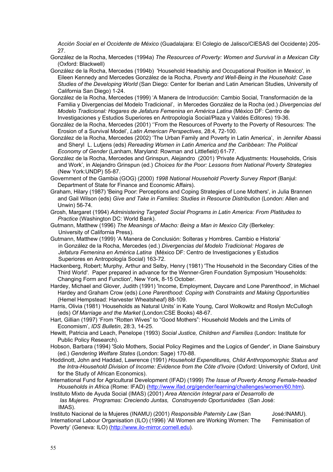*Acción Social en el Occidente de México* (Guadalajara: El Colegio de Jalisco/CIESAS del Occidente) 205- 27.

- González de la Rocha, Mercedes (1994a) *The Resources of Poverty: Women and Survival in a Mexican City*  (Oxford: Blackwell)
- González de la Rocha, Mercedes (1994b) 'Household Headship and Occupational Position in Mexico', in Eileen Kennedy and Mercedes González de la Rocha, *Poverty and Well-Being in the Household: Case Studies of the Developing World* (San Diego: Center for Iberian and Latin American Studies, University of California San Diego) 1-24.
- González de la Rocha, Mercedes (1999) 'A Manera de Introducción: Cambio Social, Transformación de la Familia y Divergencias del Modelo Tradicional', in Mercedes González de la Rocha (ed.) *Divergencias del Modelo Tradicional: Hogares de Jefatura Femenina en América Latina* (México DF: Centro de Investigaciones y Estudios Superiores en Antropología Social/Plaza y Valdés Editores) 19-36.
- González de la Rocha, Mercedes (2001) ''From the Resources of Poverty to the Poverty of Resources: The Erosion of a Survival Model', *Latin American Perspectives*, 28:4, 72-100.
- González de la Rocha, Mercedes (2002) 'The Urban Family and Poverty in Latin America', in Jennifer Abassi and Sheryl L. Lutjens (eds) *Rereading Women in Latin America and the Caribbean: The Political Economy of Gender* (Lanham, Maryland: Rowman and Littlefield) 61-77.
- González de la Rocha, Mercedes and Grinspun, Alejandro (2001) 'Private Adjustments: Households, Crisis and Work', in Alejandro Grinspun (ed.) *Choices for the Poor: Lessons from National Poverty Strategies* (New York:UNDP) 55-87.
- Government of the Gambia (GOG) (2000) *1998 National Household Poverty Survey Report* (Banjul: Department of State for Finance and Economic Affairs).
- Graham, Hilary (1987) 'Being Poor: Perceptions and Coping Strategies of Lone Mothers', in Julia Brannen and Gail Wilson (eds) *Give and Take in Families: Studies in Resource Distribution* (London: Allen and Unwin) 56-74.
- Grosh, Margaret (1994) *Administering Targeted Social Programs in Latin America: From Platitudes to Practice* (Washington DC: World Bank).
- Gutmann, Matthew (1996) *The Meanings of Macho: Being a Man in Mexico City* (Berkeley: University of California Press).
- Gutmann, Matthew (1999) 'A Manera de Conclusión: Solteras y Hombres. Cambio e Historia' in González de la Rocha, Mercedes (ed.) *Divergencias del Modelo Tradicional: Hogares de Jefatura Femenina en América Latina* (México DF: Centro de Investigaciones y Estudios Superiores en Antropología Social) 163-72.
- Hackenberg, Robert; Murphy, Arthur and Selby, Henry (1981) 'The Household in the Secondary Cities of the Third World'. Paper prepared in advance for the Wenner-Gren Foundation Symposium 'Households: Changing Form and Function', New York, 8-15 October.
- Hardey, Michael and Glover, Judith (1991) 'Income, Employment, Daycare and Lone Parenthood', in Michael Hardey and Graham Crow (eds) *Lone Parenthood: Coping with Constraints and Making Opportunities*  (Hemel Hempstead: Harvester Wheatsheaf) 88-109.
- Harris, Olivia (1981) 'Households as Natural Units' in Kate Young, Carol Wolkowitz and Roslyn McCullogh (eds) *Of Marriage and the Market* (London:CSE Books) 48-67.
- Hart, Gillian (1997) 'From "Rotten Wives" to "Good Mothers": Household Models and the Limits of Economism', *IDS Bulletin*, 28:3, 14-25.
- Hewitt, Patricia and Leach, Penelope (1993) *Social Justice, Children and Families* (London: Institute for Public Policy Research).
- Hobson, Barbara (1994) 'Solo Mothers, Social Policy Regimes and the Logics of Gender', in Diane Sainsbury (ed.) *Gendering Welfare States* (London: Sage) 170-88.
- Hoddinott, John and Haddad, Lawrence (1991) *Household Expenditures, Child Anthropomorphic Status and the Intra-Household Division of Income: Evidence from the Côte d'Ivoire* (Oxford: University of Oxford, Unit for the Study of African Economics).
- International Fund for Agricultural Development (IFAD) (1999) *The Issue of Poverty Among Female-headed Households in Africa* (Rome: IFAD) [\(http://www.ifad.org/gender/learning/challenges/women/60.htm](http://www.ifad.org/gender/learning/challenges/women/60.htm)).
- Instituto Mixto de Ayuda Social (IMAS) (2001) *Area Atención Integral para el Desarrollo de las Mujeres. Programas: Creciendo Juntas, Construyendo Oportunidades* (San José: IMAS).

Instituto Nacional de la Mujeres (INAMU) (2001) *Responsible Paternity Law* (San José:INAMU). International Labour Organisation (ILO) (1996) 'All Women are Working Women: The Feminisation of Poverty' (Geneva: ILO) [\(http://www.ilo-mirror.cornell.edu](http://www.ilo-mirror.cornell.edu/)).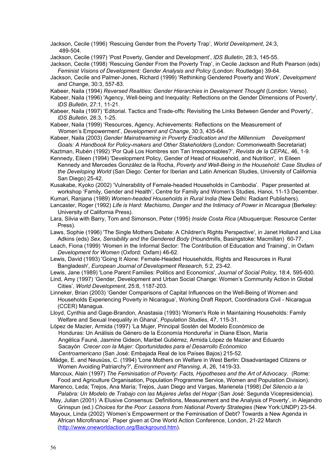Jackson, Cecile (1996) 'Rescuing Gender from the Poverty Trap', *World Development*, 24:3, 489-504.

Jackson, Cecile (1997) 'Post Poverty, Gender and Development', *IDS Bulletin*, 28:3, 145-55.

Jackson, Cecile (1998) 'Rescuing Gender From the Poverty Trap', in Cecile Jackson and Ruth Pearson (eds) *Feminist Visions of Development: Gender Analysis and Policy* (London: Routledge) 39-64.

Jackson, Cecile and Palmer-Jones, Richard (1999) 'Rethinking Gendered Poverty and Work', *Development and Change*, 30:3, 557-83.

Kabeer, Naila (1994) *Reversed Realities: Gender Hierarchies in Development Thought* (London: Verso).

Kabeer, Naila (1996) 'Agency, Well-being and Inequality: Reflections on the Gender Dimensions of Poverty', *IDS Bulletin*, 27:1, 11-21.

Kabeer, Naila (1997) 'Editorial. Tactics and Trade-offs: Revisiting the Links Between Gender and Poverty', *IDS Bulletin*, 28:3, 1-25.

Kabeer, Naila (1999) 'Resources, Agency, Achievements: Reflections on the Measurement of Women's Empowerment', *Development and Change*, 30:3, 435-64.

Kabeer, Naila (2003) *Gender Mainstreaming in Poverty Eradication and the Millennium Development Goals: A Handbook for Policy-makers and Other Stakeholders* (London: Commonwealth Secretariat)

Kaztman, Rubén (1992) 'Por Qué Los Hombres son Tan Irresponsables?', *Revista de la CEPAL*, 46, 1-9. Kennedy, Eileen (1994) 'Development Policy, Gender of Head of Household, and Nutrition', in Eileen Kennedy and Mercedes González de la Rocha, *Poverty and Well-Being in the Household: Case Studies of*

*the Developing World* (San Diego: Center for Iberian and Latin American Studies, University of California San Diego) 25-42.

Kusakabe, Kyoko (2002) 'Vulnerability of Female-headed Households in Cambodia'. Paper presented at workshop 'Family, Gender and Health', Centre for Family and Women's Studies, Hanoi, 11-13 December.

Kumari, Ranjana (1989) *Women-headed Households in Rural India* (New Delhi: Radiant Publishers).

Lancaster, Roger (1992) *Life is Hard: Machismo, Danger and the Intimacy of Power in Nicaragua* (Berkeley: University of California Press).

Lara, Silvia with Barry, Tom and Simonson, Peter (1995) *Inside Costa Rica* (Albuquerque: Resource Center Press).

Laws, Sophie (1996) 'The Single Mothers Debate: A Children's Rights Perspective', in Janet Holland and Lisa Adkins (eds) *Sex, Sensibility and the Gendered Body* (Houndmills, Basingstoke: Macmillan) 60-77.

Leach, Fiona (1999) 'Women in the Informal Sector: The Contribution of Education and Training', in Oxfam *Development for Women* (Oxford: Oxfam) 46-62.

Lewis, David (1993) 'Going It Alone: Female-Headed Households, Rights and Resources in Rural Bangladesh', *European Journal of Development Research*, 5:2, 23-42.

Lewis, Jane (1989) 'Lone Parent Families: Politics and Economics', *Journal of Social Policy*, 18:4, 595-600. Lind, Amy (1997) 'Gender, Development and Urban Social Change: Women's Community Action in Global

Cities', *World Development*, 25:8, 1187-203. Linneker, Brian (2003) 'Gender Comparisons of Capital Influences on the Well-Being of Women and Households Experiencing Poverty in Nicaragua', Working Draft Report, Coordinadora Civil - Nicaragua (CCER) Managua.

Lloyd, Cynthia and Gage-Brandon, Anastasia (1993) 'Women's Role in Maintaining Households: Family Welfare and Sexual Inequality in Ghana', *Population Studies*, 47, 115-31.

López de Mazier, Armida (1997) 'La Mujer, Principal Sostén del Modelo Económico de Honduras: Un Análisis de Género de la Economía Hondureña' in Diane Elson, María Angélica Fauné, Jasmine Gideon, Maribel Gutiérrez, Armida López de Mazier and Eduardo Sacayón *Crecer con la Mujer: Oportunidades para el Desarrollo Ecónomico Centroamericano* (San José: Embajada Real de los Países Bajos) 215-52.

Mädge, E. and Neusüss, C. (1994) 'Lone Mothers on Welfare in West Berlin: Disadvantaged Citizens or Women Avoiding Patriarchy?', *Environment and Planning, A*, 26, 1419-33.

Marcoux, Alain (1997) *The Feminisation of Poverty: Facts, Hypotheses and the Art of Advocacy*. (Rome: Food and Agriculture Organisation, Population Programme Service, Women and Population Division).

Marenco, Leda; Trejos, Ana María; Trejos, Juan Diego and Vargas, Marienela (1998) *Del Silencio a la Palabra: Un Modelo de Trabajo con las Mujeres Jefas del Hogar* (San José: Segunda Vicepresidencia).

May, Julian (2001) 'A Elusive Consensus: Definitions, Measurement and the Analysis of Poverty', in Alejandro Grinspun (ed.) *Choices for the Poor: Lessons from National Poverty Strategies* (New York:UNDP) 23-54.

Mayoux, Linda (2002) 'Women's Empowerment or the Feminisation of Debt? Towards a New Agenda in African Microfinance'. Paper given at One World Action Conference, London, 21-22 March [\(http://www.oneworldaction.org/Background.htm\)](http://www.oneworldaction.org/Background.htm).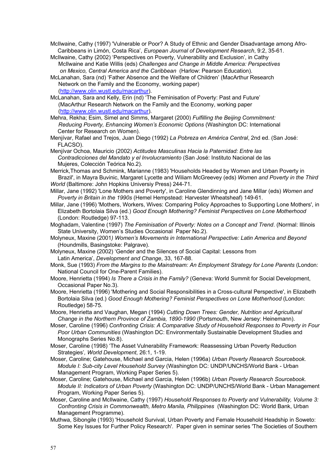McIlwaine, Cathy (1997) 'Vulnerable or Poor? A Study of Ethnic and Gender Disadvantage among Afro-Caribbeans in Limón, Costa Rica', *European Journal of Development Research*, 9:2, 35-61.

McIlwaine, Cathy (2002) 'Perspectives on Poverty, Vulnerability and Exclusion', in Cathy McIlwaine and Katie Willis (eds) *Challenges and Change in Middle America: Perspectives on Mexico, Central America and the Caribbean* (Harlow: Pearson Education).

McLanahan, Sara (nd) 'Father Absence and the Welfare of Children' (MacArthur Research Network on the Family and the Economy, working paper) (<http://www.olin.wustl.edu/macarthur>).

McLanahan, Sara and Kelly, Erin (nd) 'The Feminisation of Poverty: Past and Future' (MacArthur Research Network on the Family and the Economy, working paper (<http://www.olin.wustl.edu/macarthur>).

Mehra, Rekha; Esim, Simel and Simms, Margaret (2000) *Fulfilling the Beijing Commitment: Reducing Poverty, Enhancing Women's Economic Options* (Washington DC: International Center for Research on Women).

Menjívar, Rafael and Trejos, Juan Diego (1992) *La Pobreza en América Central*, 2nd ed. (San José: FLACSO).

Menjívar Ochoa, Mauricio (2002) *Actitudes Masculinas Hacia la Paternidad: Entre las Contradicciones del Mandato y el Involucramiento* (San José: Instituto Nacional de las Mujeres, Colección Teórica No.2).

Merrick,Thomas and Schmink, Marianne (1983) 'Households Headed by Women and Urban Poverty in Brazil', in Mayra Buvinic, Margaret Lycette and Wiliam McGreevey (eds) *Women and Poverty in the Third World* (Baltimore: John Hopkins Universiy Press) 244-71.

Millar, Jane (1992) 'Lone Mothers and Poverty', in Caroline Glendinning and Jane Millar (eds) *Women and Poverty in Britain in the 1990s* (Hemel Hempstead: Harvester Wheatsheaf) 149-61.

Millar, Jane (1996) 'Mothers, Workers, Wives: Comparing Policy Approaches to Supporting Lone Mothers', in Elizabeth Bortolaia Silva (ed.) *Good Enough Mothering? Feminist Perspectives on Lone Motherhood* (London: Routledge) 97-113.

Moghadam, Valentine (1997) *The Feminisation of Poverty: Notes on a Concept and Trend*. (Normal: Illinois State University, Women's Studies Occasional Paper No.2).

Molyneux, Maxine (2001*) Women's Movements in International Perspective: Latin America and Beyond* (Houndmills, Basingstoke: Palgrave).

Molyneux, Maxine (2002) 'Gender and the Silences of Social Capital: Lessons from Latin America', *Development and Change*, 33, 167-88.

Monk, Sue (1993) *From the Margins to the Mainstream: An Employment Strategy for Lone Parents* (London: National Council for One-Parent Families).

Moore, Henrietta (1994) *Is There a Crisis in the Family?* (Geneva: World Summit for Social Development, Occasional Paper No.3).

Moore, Henrietta (1996) 'Mothering and Social Responsibilities in a Cross-cultural Perspective', in Elizabeth Bortolaia Silva (ed.) *Good Enough Mothering? Feminist Perspectives on Lone Motherhood* (London: Routledge) 58-75.

Moore, Henrietta and Vaughan, Megan (1994) *Cutting Down Trees: Gender, Nutrition and Agricultural Change in the Northern Province of Zambia, 1890-1990* (Portsmouth, New Jersey: Heinemann).

Moser, Caroline (1996) *Confronting Crisis: A Comparative Study of Household Responses to Poverty in Four Poor Urban Communities* (Washington DC: Environmentally Sustainable Development Studies and Monographs Series No.8).

Moser, Caroline (1998) 'The Asset Vulnerability Framework: Reassessing Urban Poverty Reduction Strategies'*, World Development*, 26:1, 1-19.

Moser, Caroline; Gatehouse, Michael and Garcia, Helen (1996a) *Urban Poverty Research Sourcebook. Module I: Sub-city Level Household Survey* (Washington DC: UNDP/UNCHS/World Bank - Urban Management Program, Working Paper Series 5).

Moser, Caroline; Gatehouse, Michael and Garcia, Helen (1996b) *Urban Poverty Research Sourcebook. Module II: Indicators of Urban Poverty* (Washington DC: UNDP/UNCHS/World Bank - Urban Management Program, Working Paper Series 5).

Moser, Caroline and McIlwaine, Cathy (1997) *Household Responses to Poverty and Vulnerability, Volume 3: Confronting Crisis in Commonwealth, Metro Manila, Philippines* (Washington DC: World Bank, Urban Management Programme).

Muthwa, Sibongile (1993) 'Household Survival, Urban Poverty and Female Household Headship in Soweto: Some Key Issues for Further Policy Research'. Paper given in seminar series 'The Societies of Southern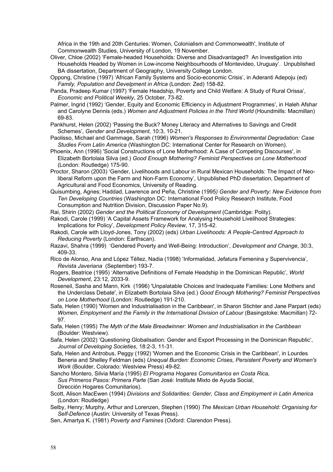Africa in the 19th and 20th Centuries: Women, Colonialism and Commonwealth', Institute of Commonwealth Studies, University of London, 19 November.

- Oliver, Chloe (2002) 'Female-headed Households: Diverse and Disadvantaged? An Investigation into Households Headed by Women in Low-income Neighbourhoods of Montevideo, Uruguay'. Unpublished BA dissertation, Department of Geography, University College London.
- Oppong, Christine (1997) 'African Family Systems and Socio-economic Crisis', in Aderanti Adepoju (ed) *Family, Population and Develpment in Africa* (London: Zed) 158-82.
- Panda, Pradeep Kumar (1997) 'Female Headship, Poverty and Child Welfare: A Study of Rural Orissa'*, Economic and Political Weekly*, 25 October, 73-82.
- Palmer, Ingrid (1992) 'Gender, Equity and Economic Efficiency in Adjustment Programmes', in Haleh Afshar and Carolyne Dennis (eds.) *Women and Adjustment Policies in the Third World* (Houndmills: Macmillan) 69-83.
- Pankhurst, Helen (2002) 'Passing the Buck? Money Literacy and Alternatives to Savings and Credit Schemes', *Gender and Development*, 10:3, 10-21.
- Paolisso, Michael and Gammage, Sarah (1996) *Women's Responses to Environmental Degradation: Case Studies From Latin America* (Washington DC: International Center for Research on Women).
- Phoenix, Ann (1996) 'Social Constructions of Lone Motherhood: A Case of Competing Discourses', in Elizabeth Bortolaia Silva (ed.) *Good Enough Mothering? Feminist Perspectives on Lone Motherhood*  (London: Routledge) 175-90.
- Proctor, Sharon (2003) 'Gender, Livelihoods and Labour in Rural Mexican Households: The Impact of Neoliberal Reform upon the Farm and Non-Farm Economy', Unpublished PhD dissertation, Department of Agricultural and Food Economics, University of Reading.
- Quisumbing, Agnes; Haddad, Lawrence and Peña, Christine (1995*) Gender and Poverty: New Evidence from Ten Developing Countries* (Washington DC: International Food Policy Research Institute, Food Consumption and Nutrition Division, Discussion Paper No.9).
- Rai, Shirin (2002) *Gender and the Political Economy of Development* (Cambridge: Polity).
- Rakodi, Carole (1999) 'A Capital Assets Framework for Analysing Household Livelihood Strategies: Implications for Policy', *Development Policy Review*, 17, 315-42.
- Rakodi, Carole with Lloyd-Jones, Tony (2002) (eds) *Urban Livelihoods: A People-Centred Approach to Reducing Poverty* (London: Earthscan).
- Razavi, Shahra (1999) 'Gendered Poverty and Well-Being: Introduction', *Development and Change*, 30:3, 409-33.
- Rico de Alonso, Ana and López Téllez, Nadia (1998) 'Informalidad, Jefatura Femenina y Supervivencia', *Revista Javeriana* (September) 193-7.
- Rogers, Beatrice (1995) 'Alternative Definitions of Female Headship in the Dominican Republic', *World Development*, 23:12, 2033-9.
- Roseneil, Sasha and Mann, Kirk (1996) 'Unpalatable Choices and Inadequate Families: Lone Mothers and the Underclass Debate', in Elizabeth Bortolaia Silva (ed.) *Good Enough Mothering? Feminist Perspectives on Lone Motherhood* (London: Routledge) 191-210.
- Safa, Helen (1990) 'Women and Industrialisation in the Caribbean', in Sharon Stichter and Jane Parpart (eds) *Women, Employment and the Family in the International Division of Labour* (Basingstoke: Macmillan) 72- 97.
- Safa, Helen (1995) *The Myth of the Male Breadwinner: Women and Industrialisation in the Caribbean*  (Boulder: Westview).
- Safa, Helen (2002) 'Questioning Globalisation: Gender and Export Processing in the Dominican Republic', *Journal of Developing Societies*, 18:2-3, 11-31.
- Safa, Helen and Antrobus, Peggy (1992) 'Women and the Economic Crisis in the Caribbean', in Lourdes Beneria and Shelley Feldman (eds) *Unequal Burden: Economic Crises, Persistent Poverty and Women's Work* (Boulder, Colorado: Westview Press) 49-82.
- Sancho Montero, Silvia María (1995) *El Programa Hogares Comunitarios en Costa Rica, Sus Primeros Pasos: Primera Parte* (San José: Institute Mixto de Ayuda Social, Dirección Hogares Comunitarios).
- Scott, Alison MacEwen (1994) *Divisions and Solidarities: Gender, Class and Employment in Latin America* (London: Routledge)
- Selby, Henry; Murphy, Arthur and Lorenzen, Stephen (1990) *The Mexican Urban Household: Organising for Self-Defence* (Austin: University of Texas Press).
- Sen, Amartya K. (1981) *Poverty and Famines* (Oxford: Clarendon Press).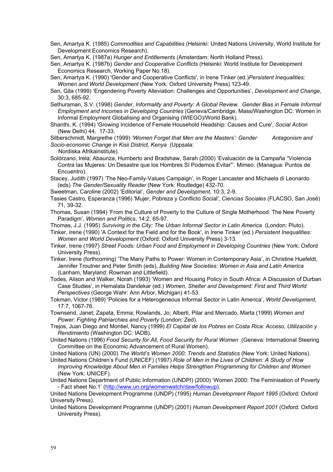Sen, Amartya K. (1985) *Commodities and Capabilities* (Helsinki: United Nations University, World Institute for Development Economics Research).

Sen, Amartya K. (1987a) *Hunger and Entitlements* (Amsterdam: North Holland Press).

Sen, Amartya K. (1987b) *Gender and Cooperative Conflicts* (Helsinki: World Institute for Development Economics Research, Working Paper No.18).

Sen, Amartya K. (1990) 'Gender and Cooperative Conflicts', in Irene Tinker (ed.)*Persistent Inequalities: Women and World Development* (New York: Oxford University Press) 123-49.

Sen, Gita (1999) 'Engendering Poverty Alleviation: Challenges and Opportunities', *Development and Change*, 30:3, 685-92.

Sethuraman, S.V. (1998) *Gender, Informality and Poverty: A Global Review. Gender Bias in Female Informal Employment and Incomes in Developing Countries* (Geneva/Cambridge, Mass/Washington DC: Women in Informal Employment Globalising and Organising (WIEGO)/World Bank).

Shanthi, K. (1994) 'Growing Incidence of Female Household Headship: Causes and Cure', *Social Action*  (New Delhi) 44, 17-33.

Silberschmidt, Margrethe (1999) *'Women Forget that Men are the Masters': Gender Antagonism and Socio-economic Change in Kisii District, Kenya* (Uppsala:

Nordiska Afrikainstitute).

Solórzano, Irela; Abaunza, Humberto and Bradshaw, Sarah (2000) 'Evaluación de la Campaña "Violencia Contra las Mujeres: Un Desastre que los Hombres Sí Podemos Evitar"'. Mimeo. (Managua: Puntos de Encuentro).

Stacey, Judith (1997) 'The Neo-Family-Values Campaign', in Roger Lancaster and Michaela di Leonardo (eds) *The Gender/Sexuality Reader* (New York: Routledge) 432-70.

Sweetman, Caroline (2002) 'Editorial', *Gender and Development*, 10:3, 2-9.

Tasies Castro, Esperanza (1996) 'Mujer, Pobreza y Conflicto Social', *Ciencias Sociales* (FLACSO, San José) 71, 39-32.

Thomas, Susan (1994) 'From the Culture of Poverty to the Culture of Single Motherhood: The New Poverty Paradigm', *Women and Politics*, 14:2, 65-97.

Thomas, J.J. (1995) *Surviving in the City: The Urban Informal Sector in Latin America* (London: Pluto).

- Tinker, Irene (1990) 'A Context for the Field and for the Book', in Irene Tinker (ed.) *Persistent Inequalities: Women and World Development* (Oxford: Oxford University Press) 3-13.
- Tinker, Irene (1997) *Street Foods: Urban Food and Employment in Developing Countries* (New York: Oxford University Press).
- Tinker, Irene (forthcoming) 'The Many Paths to Power: Women in Contemporary Asia', in Christine Huefeldt, Jennifer Troutner and Peter Smith (eds), *Building New Societies: Women in Asia and Latin America* (Lanham, Maryland: Rowman and Littlefield).
- Todes, Alison and Walker, Norah (1993) 'Women and Housing Policy in South Africa: A Discussion of Durban Case Studies', in Hemalata Dandekar (ed.) *Women, Shelter and Development: First and Third World Perspectives* (George Wahr: Ann Arbor, Michigan) 41-53.

Tokman, Victor (1989) 'Policies for a Heterogeneous Informal Sector in Latin America', *World Development*, 17:7, 1067-76.

Townsend, Janet; Zapata, Emma; Rowlands, Jo; Alberti, Pilar and Mercado, Marta (1999) *Women and Power: Fighting Patriarchies and Poverty* (London: Zed).

Trejos, Juan Diego and Montiel, Nancy (1999) *El Capital de los Pobres en Costa Rica: Acceso, Utilización y Rendimiento* (Washington DC: IADB).

United Nations (1996) *Food Security for All, Food Security for Rural Women* (Geneva: International Steering Committee on the Economic Advancement of Rural Women).

United Nations (UN) (2000) *The World's Women 2000: Trends and Statistics* (New York: United Nations).

United Nations Children's Fund (UNICEF) (1997) *Role of Men in the Lives of Children: A Study of How Improving Knowledge About Men in Families Helps Strengthen Programming for Children and Women* (New York: UNICEF).

United Nations Department of Public Information (UNDPI) (2000) 'Women 2000: The Feminisation of Poverty - Fact sheet No.1' [\(http://www.un.org/womenwatch/daw/followup\)](http://www.un.org/womenwatch/daw/followup).

United Nations Development Programme (UNDP) (1995) *Human Development Report 1995* (Oxford: Oxford University Press).

United Nations Development Programme (UNDP) (2001) *Human Development Report 2001* (Oxford: Oxford University Press).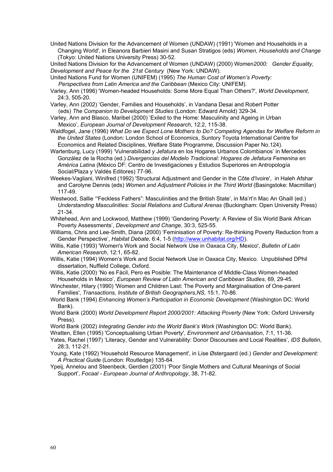United Nations Division for the Advancement of Women (UNDAW) (1991) 'Women and Households in a Changing World', in Eleanora Barbieri Masini and Susan Stratigos (eds) *Women, Households and Change* (Tokyo: United Nations University Press) 30-52.

United Nations Division for the Advancement of Women (UNDAW) (2000) Women*2000: Gender Equality, Development and Peace for the 21st Century* (New York: UNDAW).

- United Nations Fund for Women (UNIFEM) (1995) *The Human Cost of Women's Poverty: Perspectives from Latin America and the Caribbean* (Mexico City: UNIFEM).
- Varley, Ann (1996) 'Women-headed Households: Some More Equal Than Others?', *World Development*, 24:3, 505-20.
- Varley, Ann (2002) 'Gender, Families and Households', in Vandana Desai and Robert Potter (eds) *The Companion to Development Studies* (London: Edward Arnold) 329-34.
- Varley, Ann and Blasco, Maribel (2000) 'Exiled to the Home: Masculinity and Ageing in Urban Mexico', *European Journal of Development Research*, 12:2, 115-38.
- Waldfogel, Jane (1996) *What Do we Expect Lone Mothers to Do? Competing Agendas for Welfare Reform in the United States* (London: London School of Economics, Suntory Toyota International Centre for Economics and Related Disciplines, Welfare State Programme, Discussion Paper No.124).
- Wartenburg, Lucy (1999) 'Vulnerabilidad y Jefatura en los Hogares Urbanos Colombianos' in Mercedes González de la Rocha (ed.) *Divergencias del Modelo Tradicional: Hogares de Jefatura Femenina en América Latina* (México DF: Centro de Investigaciones y Estudios Superiores en Antropología Social/Plaza y Valdés Editores) 77-96.
- Weekes-Vagliani, Winifred (1992) 'Structural Adjustment and Gender in the Côte d'Ivoire', in Haleh Afshar and Carolyne Dennis (eds) *Women and Adjustment Policies in the Third World* (Basingstoke: Macmillan) 117-49.
- Westwood, Sallie '"Feckless Fathers": Masculinities and the British State', in Ma'rt'n Mac An Ghaill (ed.) *Understanding Masculinities: Social Relations and Cultural Arenas* (Buckingham: Open University Press) 21-34.
- Whitehead, Ann and Lockwood, Matthew (1999) 'Gendering Poverty: A Review of Six World Bank African Poverty Assessments', *Development and Change*, 30:3, 525-55.
- Williams, Chris and Lee-Smith, Diana (2000) 'Feminisation of Poverty: Re-thinking Poverty Reduction from a Gender Perspective', *Habitat Debate*, 6:4, 1-5 ([http://www.unhabitat.org/HD\)](http://www.unhabitat.org/HD).
- Willis, Katie (1993) 'Women's Work and Social Network Use in Oaxaca City, Mexico', *Bulletin of Latin American Research*, 12:1, 65-82.
- Willis, Katie (1994) Women's Work and Social Network Use in Oaxaca City, Mexico. Unpublished DPhil dissertation, Nuffield College, Oxford.
- Willis, Katie (2000) 'No es Fácil, Pero es Posible: The Maintenance of Middle-Class Women-headed Households in Mexico', *European Review of Latin American and Caribbean Studies*, 69, 29-45.
- Winchester, Hilary (1990) 'Women and Children Last: The Poverty and Marginalisation of One-parent Families', *Transactions, Institute of British Geographers,NS,* 15:1, 70-86.
- World Bank (1994) *Enhancing Women's Participation in Economic Development* (Washington DC: World Bank).
- World Bank (2000) *World Development Report 2000/2001: Attacking Poverty* (New York: Oxford University Press).
- World Bank (2002) *Integrating Gender into the World Bank's Work* (Washington DC: World Bank).
- Wratten, Ellen (1995) 'Conceptualising Urban Poverty', *Environment and Urbanisation*, 7:1, 11-36.
- Yates, Rachel (1997) 'Literacy, Gender and Vulnerability: Donor Discourses and Local Realities', *IDS Bulletin*, 28:3, 112-21.
- Young, Kate (1992) 'Household Resource Management', in Lise Østergaard (ed.) *Gender and Development: A Practical Guide* (London: Routledge) 135-64.
- Ypeij, Annelou and Steenbeck, Gerdien (2001) 'Poor Single Mothers and Cultural Meanings of Social Support', *Focaal - European Journal of Anthropology*, 38, 71-82.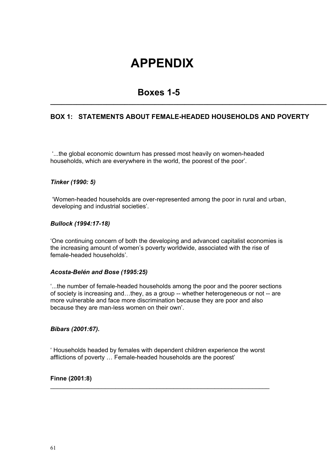## **APPENDIX**

## **Boxes 1-5**

#### **BOX 1: STATEMENTS ABOUT FEMALE-HEADED HOUSEHOLDS AND POVERTY**

**\_\_\_\_\_\_\_\_\_\_\_\_\_\_\_\_\_\_\_\_\_\_\_\_\_\_\_\_\_\_\_\_\_\_\_\_\_\_\_\_\_\_\_\_\_\_\_\_\_\_\_\_\_\_\_\_\_\_\_\_\_\_\_\_\_\_\_\_\_\_\_\_\_\_** 

 '...the global economic downturn has pressed most heavily on women-headed households, which are everywhere in the world, the poorest of the poor'.

#### *Tinker (1990: 5)*

 'Women-headed households are over-represented among the poor in rural and urban, developing and industrial societies'.

#### *Bullock (1994:17-18)*

'One continuing concern of both the developing and advanced capitalist economies is the increasing amount of women's poverty worldwide, associated with the rise of female-headed households'.

#### *Acosta-Belén and Bose (1995:25)*

'...the number of female-headed households among the poor and the poorer sections of society is increasing and…they, as a group -- whether heterogeneous or not -- are more vulnerable and face more discrimination because they are poor and also because they are man-less women on their own'.

#### *Bibars (2001:67).*

' Households headed by females with dependent children experience the worst afflictions of poverty … Female-headed households are the poorest'

\_\_\_\_\_\_\_\_\_\_\_\_\_\_\_\_\_\_\_\_\_\_\_\_\_\_\_\_\_\_\_\_\_\_\_\_\_\_\_\_\_\_\_\_\_\_\_\_\_\_\_\_\_\_\_\_\_\_\_\_\_\_\_\_

#### **Finne (2001:8)**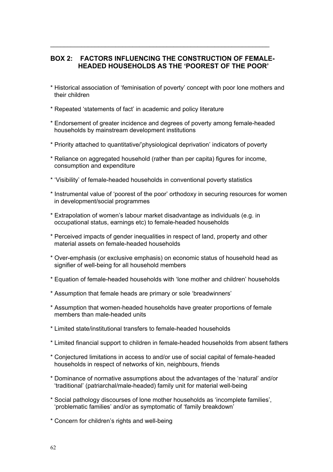#### **BOX 2: FACTORS INFLUENCING THE CONSTRUCTION OF FEMALE-HEADED HOUSEHOLDS AS THE 'POOREST OF THE POOR'**

\_\_\_\_\_\_\_\_\_\_\_\_\_\_\_\_\_\_\_\_\_\_\_\_\_\_\_\_\_\_\_\_\_\_\_\_\_\_\_\_\_\_\_\_\_\_\_\_\_\_\_\_\_\_\_\_\_\_\_\_\_\_\_\_

- \* Historical association of 'feminisation of poverty' concept with poor lone mothers and their children
- \* Repeated 'statements of fact' in academic and policy literature
- \* Endorsement of greater incidence and degrees of poverty among female-headed households by mainstream development institutions
- \* Priority attached to quantitative/'physiological deprivation' indicators of poverty
- \* Reliance on aggregated household (rather than per capita) figures for income, consumption and expenditure
- \* 'Visibility' of female-headed households in conventional poverty statistics
- \* Instrumental value of 'poorest of the poor' orthodoxy in securing resources for women in development/social programmes
- \* Extrapolation of women's labour market disadvantage as individuals (e.g. in occupational status, earnings etc) to female-headed households
- \* Perceived impacts of gender inequalities in respect of land, property and other material assets on female-headed households
- \* Over-emphasis (or exclusive emphasis) on economic status of household head as signifier of well-being for all household members
- \* Equation of female-headed households with 'lone mother and children' households
- \* Assumption that female heads are primary or sole 'breadwinners'
- \* Assumption that women-headed households have greater proportions of female members than male-headed units
- \* Limited state/institutional transfers to female-headed households
- \* Limited financial support to children in female-headed households from absent fathers
- \* Conjectured limitations in access to and/or use of social capital of female-headed households in respect of networks of kin, neighbours, friends
- \* Dominance of normative assumptions about the advantages of the 'natural' and/or 'traditional' (patriarchal/male-headed) family unit for material well-being
- \* Social pathology discourses of lone mother households as 'incomplete families', 'problematic families' and/or as symptomatic of 'family breakdown'
- \* Concern for children's rights and well-being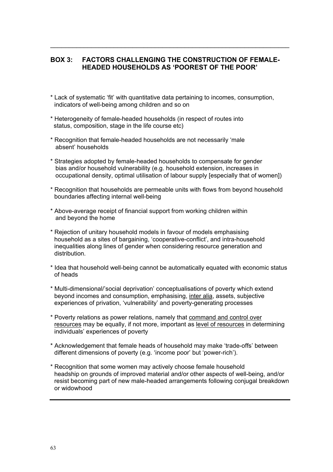#### **BOX 3: FACTORS CHALLENGING THE CONSTRUCTION OF FEMALE-HEADED HOUSEHOLDS AS 'POOREST OF THE POOR'**

 $\mathcal{L}_\text{max} = \mathcal{L}_\text{max} = \mathcal{L}_\text{max} = \mathcal{L}_\text{max} = \mathcal{L}_\text{max} = \mathcal{L}_\text{max} = \mathcal{L}_\text{max} = \mathcal{L}_\text{max} = \mathcal{L}_\text{max} = \mathcal{L}_\text{max} = \mathcal{L}_\text{max} = \mathcal{L}_\text{max} = \mathcal{L}_\text{max} = \mathcal{L}_\text{max} = \mathcal{L}_\text{max} = \mathcal{L}_\text{max} = \mathcal{L}_\text{max} = \mathcal{L}_\text{max} = \mathcal{$ 

- \* Lack of systematic 'fit' with quantitative data pertaining to incomes, consumption, indicators of well-being among children and so on
- \* Heterogeneity of female-headed households (in respect of routes into status, composition, stage in the life course etc)
- \* Recognition that female-headed households are not necessarily 'male absent' households
- \* Strategies adopted by female-headed households to compensate for gender bias and/or household vulnerability (e.g. household extension, increases in occupational density, optimal utilisation of labour supply [especially that of women])
- \* Recognition that households are permeable units with flows from beyond household boundaries affecting internal well-being
- \* Above-average receipt of financial support from working children within and beyond the home
- \* Rejection of unitary household models in favour of models emphasising household as a sites of bargaining, 'cooperative-conflict', and intra-household inequalities along lines of gender when considering resource generation and distribution.
- \* Idea that household well-being cannot be automatically equated with economic status of heads
- \* Multi-dimensional/'social deprivation' conceptualisations of poverty which extend beyond incomes and consumption, emphasising, inter alia, assets, subjective experiences of privation, 'vulnerability' and poverty-generating processes
- \* Poverty relations as power relations, namely that command and control over resources may be equally, if not more, important as level of resources in determining individuals' experiences of poverty
- \* Acknowledgement that female heads of household may make 'trade-offs' between different dimensions of poverty (e.g. 'income poor' but 'power-rich').
- \* Recognition that some women may actively choose female household headship on grounds of improved material and/or other aspects of well-being, and/or resist becoming part of new male-headed arrangements following conjugal breakdown or widowhood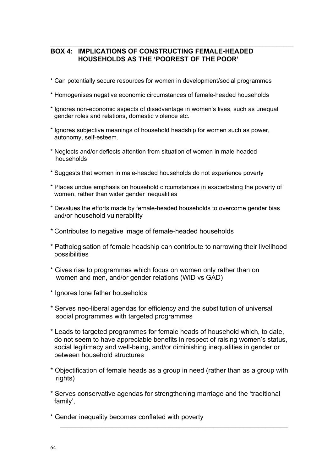#### **BOX 4: IMPLICATIONS OF CONSTRUCTING FEMALE-HEADED HOUSEHOLDS AS THE 'POOREST OF THE POOR'**

\* Can potentially secure resources for women in development/social programmes

\_\_\_\_\_\_\_\_\_\_\_\_\_\_\_\_\_\_\_\_\_\_\_\_\_\_\_\_\_\_\_\_\_\_\_\_\_\_\_\_\_\_\_\_\_\_\_\_\_\_\_\_\_\_\_\_\_\_\_\_\_\_\_\_\_\_\_\_\_\_\_

- \* Homogenises negative economic circumstances of female-headed households
- \* Ignores non-economic aspects of disadvantage in women's lives, such as unequal gender roles and relations, domestic violence etc.
- \* Ignores subjective meanings of household headship for women such as power, autonomy, self-esteem.
- \* Neglects and/or deflects attention from situation of women in male-headed households
- \* Suggests that women in male-headed households do not experience poverty
- \* Places undue emphasis on household circumstances in exacerbating the poverty of women, rather than wider gender inequalities
- \* Devalues the efforts made by female-headed households to overcome gender bias and/or household vulnerability
- \* Contributes to negative image of female-headed households
- \* Pathologisation of female headship can contribute to narrowing their livelihood possibilities
- \* Gives rise to programmes which focus on women only rather than on women and men, and/or gender relations (WID vs GAD)
- \* Ignores lone father households
- \* Serves neo-liberal agendas for efficiency and the substitution of universal social programmes with targeted programmes
- \* Leads to targeted programmes for female heads of household which, to date, do not seem to have appreciable benefits in respect of raising women's status, social legitimacy and well-being, and/or diminishing inequalities in gender or between household structures
- \* Objectification of female heads as a group in need (rather than as a group with rights)
- \* Serves conservative agendas for strengthening marriage and the 'traditional family',

\_\_\_\_\_\_\_\_\_\_\_\_\_\_\_\_\_\_\_\_\_\_\_\_\_\_\_\_\_\_\_\_\_\_\_\_\_\_\_\_\_\_\_\_\_\_\_\_\_\_\_\_\_\_\_\_\_\_\_\_\_

\* Gender inequality becomes conflated with poverty